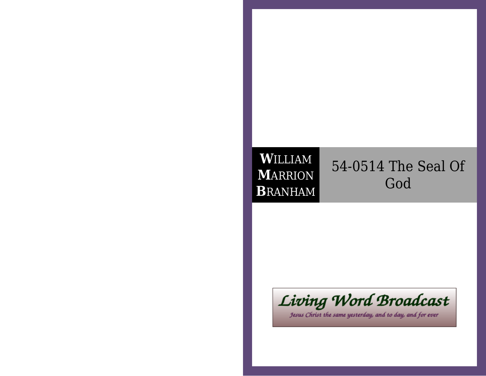# **W**ILLIAM **M**ARRION**B**RANHAM

# 54-0514 The Seal OfGod



Jesus Christ the same yesterday, and to day, and for ever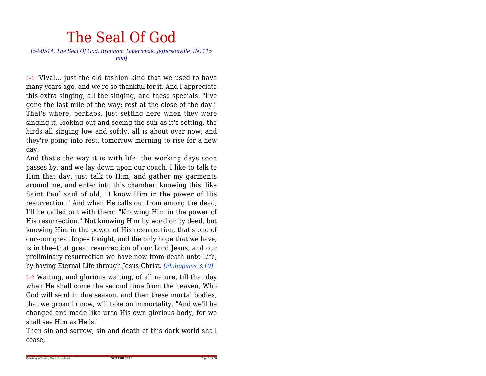# The Seal Of God

#### *[54-0514, The Seal Of God, Branham Tabernacle, Jeffersonville, IN, 115min]*

L-1 'Vival... just the old fashion kind that we used to have many years ago, and we're so thankful for it. And I appreciate this extra singing, all the singing, and these specials. "I've gone the last mile of the way; rest at the close of the day." That's where, perhaps, just setting here when they were singing it, looking out and seeing the sun as it's setting, the birds all singing low and softly, all is about over now, and they're going into rest, tomorrow morning to rise for a newday.

And that's the way it is with life: the working days soon passes by, and we lay down upon our couch. I like to talk to Him that day, just talk to Him, and gather my garments around me, and enter into this chamber, knowing this, like Saint Paul said of old, "I know Him in the power of His resurrection." And when He calls out from among the dead,I'll be called out with them: "Knowing Him in the power of His resurrection." Not knowing Him by word or by deed, butknowing Him in the power of His resurrection, that's one of our--our great hopes tonight, and the only hope that we have,is in the--that great resurrection of our Lord Jesus, and our preliminary resurrection we have now from death unto Life,by having Eternal Life through Jesus Christ. *[Philippians 3:10]*

L-2 Waiting, and glorious waiting, of all nature, till that day when He shall come the second time from the heaven, Who God will send in due season, and then these mortal bodies, that we groan in now, will take on immortality. "And we'll be changed and made like unto His own glorious body, for weshall see Him as He is."

 Then sin and sorrow, sin and death of this dark world shallcease,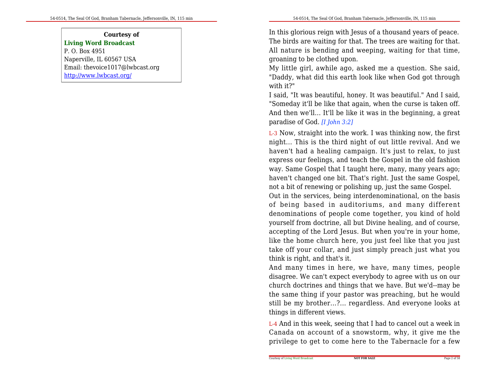#### **Courtesy ofLiving Word Broadcast**

P. O. Box 4951 Naperville, IL 60567 USA Email: thevoice1017@lwbcast.orghttp://www.lwbcast.org/

In this glorious reign with Jesus of a thousand years of peace. The birds are waiting for that. The trees are waiting for that.All nature is bending and weeping, waiting for that time,groaning to be clothed upon.

 My little girl, awhile ago, asked me a question. She said, "Daddy, what did this earth look like when God got throughwith it?"

 I said, "It was beautiful, honey. It was beautiful." And I said,"Someday it'll be like that again, when the curse is taken off. And then we'll... It'll be like it was in the beginning, a greatparadise of God. *[I John 3:2]*

L-3 Now, straight into the work. I was thinking now, the first night... This is the third night of out little revival. And we haven't had a healing campaign. It's just to relax, to just express our feelings, and teach the Gospel in the old fashion way. Same Gospel that I taught here, many, many years ago; haven't changed one bit. That's right. Just the same Gospel,not a bit of renewing or polishing up, just the same Gospel.

 Out in the services, being interdenominational, on the basis of being based in auditoriums, and many different denominations of people come together, you kind of hold yourself from doctrine, all but Divine healing, and of course, accepting of the Lord Jesus. But when you're in your home,like the home church here, you just feel like that you just take off your collar, and just simply preach just what youthink is right, and that's it.

And many times in here, we have, many times, people disagree. We can't expect everybody to agree with us on our church doctrines and things that we have. But we'd--may be the same thing if your pastor was preaching, but he would still be my brother...?... regardless. And everyone looks atthings in different views.

L-4 And in this week, seeing that I had to cancel out a week in Canada on account of a snowstorm, why, it give me theprivilege to get to come here to the Tabernacle for a few

**NOT FOR SALE**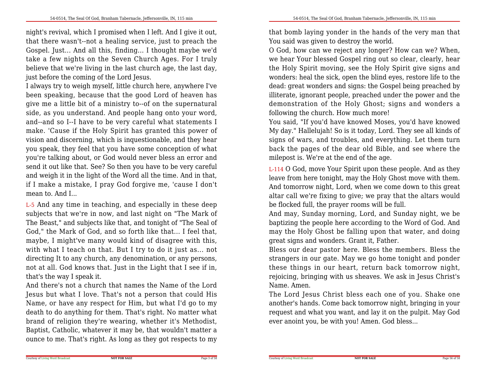night's revival, which I promised when I left. And I give it out,that there wasn't--not a healing service, just to preach the Gospel. Just... And all this, finding... I thought maybe we'd take a few nights on the Seven Church Ages. For I truly believe that we're living in the last church age, the last day,just before the coming of the Lord Jesus.

I always try to weigh myself, little church here, anywhere I've been speaking, because that the good Lord of heaven has give me a little bit of a ministry to--of on the supernatural side, as you understand. And people hang onto your word,and--and so I--I have to be very careful what statements I make. 'Cause if the Holy Spirit has granted this power of vision and discerning, which is inquestionable, and they hear you speak, they feel that you have some conception of what you're talking about, or God would never bless an error and send it out like that. See? So then you have to be very carefuland weigh it in the light of the Word all the time. And in that,if I make a mistake, I pray God forgive me, 'cause I don'tmean to. And I...

L-5 And any time in teaching, and especially in these deep subjects that we're in now, and last night on "The Mark of The Beast," and subjects like that, and tonight of "The Seal of God," the Mark of God, and so forth like that... I feel that,maybe, I might've many would kind of disagree with this, with what I teach on that. But I try to do it just as... not directing It to any church, any denomination, or any persons,not at all. God knows that. Just in the Light that I see if in,that's the way I speak it.

And there's not a church that names the Name of the Lord Jesus but what I love. That's not a person that could His Name, or have any respect for Him, but what I'd go to my death to do anything for them. That's right. No matter what brand of religion they're wearing, whether it's Methodist, Baptist, Catholic, whatever it may be, that wouldn't matter aounce to me. That's right. As long as they got respects to my

that bomb laying yonder in the hands of the very man thatYou said was given to destroy the world.

 O God, how can we reject any longer? How can we? When,we hear Your blessed Gospel ring out so clear, clearly, hear the Holy Spirit moving, see the Holy Spirit give signs and wonders: heal the sick, open the blind eyes, restore life to the dead: great wonders and signs: the Gospel being preached by illiterate, ignorant people, preached under the power and the demonstration of the Holy Ghost; signs and wonders afollowing the church. How much more!

 You said, "If you'd have knowed Moses, you'd have knowed My day." Hallelujah! So is it today, Lord. They see all kinds of signs of wars, and troubles, and everything. Let them turn back the pages of the dear old Bible, and see where themilepost is. We're at the end of the age.

L-114 O God, move Your Spirit upon these people. And as they leave from here tonight, may the Holy Ghost move with them. And tomorrow night, Lord, when we come down to this great altar call we're fixing to give; we pray that the altars wouldbe flocked full, the prayer rooms will be full.

 And may, Sunday morning, Lord, and Sunday night, we be baptizing the people here according to the Word of God. And may the Holy Ghost be falling upon that water, and doinggreat signs and wonders. Grant it, Father.

 Bless our dear pastor here. Bless the members. Bless the strangers in our gate. May we go home tonight and ponder these things in our heart, return back tomorrow night, rejoicing, bringing with us sheaves. We ask in Jesus Christ'sName. Amen.

 The Lord Jesus Christ bless each one of you. Shake one another's hands. Come back tomorrow night, bringing in your request and what you want, and lay it on the pulpit. May Godever anoint you, be with you! Amen. God bless...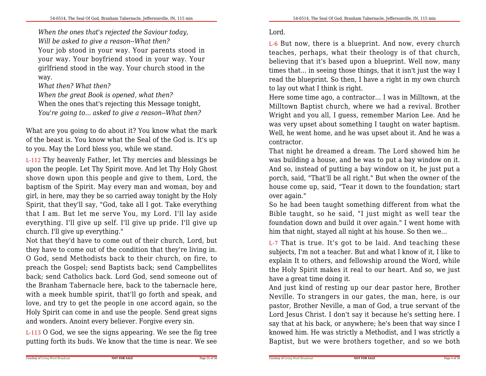*When the ones that's rejected the Saviour today,Will be asked to give a reason--What then?*

 Your job stood in your way. Your parents stood in your way. Your boyfriend stood in your way. Your girlfriend stood in the way. Your church stood in theway.

*What then? What then?*

*When the great Book is opened, what then?*

 When the ones that's rejecting this Message tonight,*You're going to... asked to give a reason--What then?*

What are you going to do about it? You know what the mark of the beast is. You know what the Seal of the God is. It's upto you. May the Lord bless you, while we stand.

L-112 Thy heavenly Father, let Thy mercies and blessings be upon the people. Let Thy Spirit move. And let Thy Holy Ghost shove down upon this people and give to them, Lord, the baptism of the Spirit. May every man and woman, boy and girl, in here, may they be so carried away tonight by the Holy Spirit, that they'll say, "God, take all I got. Take everything that I am. But let me serve You, my Lord. I'll lay aside everything. I'll give up self. I'll give up pride. I'll give upchurch. I'll give up everything."

 Not that they'd have to come out of their church, Lord, but they have to come out of the condition that they're living in.O God, send Methodists back to their church, on fire, to preach the Gospel; send Baptists back; send Campbellites back; send Catholics back. Lord God, send someone out of the Branham Tabernacle here, back to the tabernacle here, with a meek humble spirit, that'll go forth and speak, and love, and try to get the people in one accord again, so the Holy Spirit can come in and use the people. Send great signsand wonders. Anoint every believer. Forgive every sin.

L-113 O God, we see the signs appearing. We see the fig treeputting forth its buds. We know that the time is near. We see

## Lord.

L-6 But now, there is a blueprint. And now, every church teaches, perhaps, what their theology is of that church,believing that it's based upon a blueprint. Well now, many times that... in seeing those things, that it isn't just the way I read the blueprint. So then, I have a right in my own churchto lay out what I think is right.

 Here some time ago, a contractor... I was in Milltown, at the Milltown Baptist church, where we had a revival. Brother Wright and you all, I guess, remember Marion Lee. And he was very upset about something I taught on water baptism. Well, he went home, and he was upset about it. And he was acontractor.

 That night he dreamed a dream. The Lord showed him he was building a house, and he was to put a bay window on it.And so, instead of putting a bay window on it, he just put a porch, said, "That'll be all right." But when the owner of the house come up, said, "Tear it down to the foundation; startover again."

 So he had been taught something different from what the Bible taught, so he said, "I just might as well tear the foundation down and build it over again." I went home withhim that night, stayed all night at his house. So then we...

L-7 That is true. It's got to be laid. And teaching these subjects, I'm not a teacher. But and what I know of it, I like to explain It to others, and fellowship around the Word, while the Holy Spirit makes it real to our heart. And so, we justhave a great time doing it.

And just kind of resting up our dear pastor here, Brother Neville. To strangers in our gates, the man, here, is our pastor, Brother Neville, a man of God, a true servant of the Lord Jesus Christ. I don't say it because he's setting here. I say that at his back, or anywhere; he's been that way since I knowed him. He was strictly a Methodist, and I was strictly aBaptist, but we were brothers together, and so we both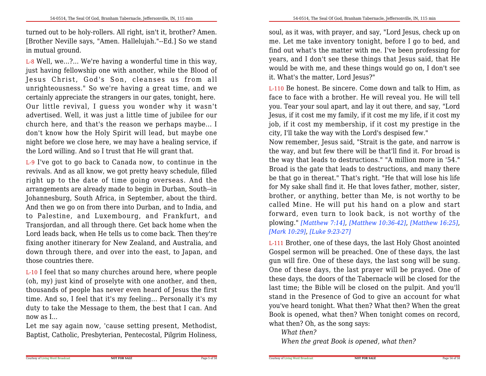54-0514, The Seal Of God, Branham Tabernacle, Jeffersonville, IN, 115 min

turned out to be holy-rollers. All right, isn't it, brother? Amen.[Brother Neville says, "Amen. Hallelujah."--Ed.] So we standin mutual ground.

L-8 Well, we...?... We're having a wonderful time in this way,just having fellowship one with another, while the Blood of Jesus Christ, God's Son, cleanses us from all unrighteousness." So we're having a great time, and we certainly appreciate the strangers in our gates, tonight, here. Our little revival, <sup>I</sup> guess you wonder why it wasn't advertised. Well, it was just a little time of jubilee for our church here, and that's the reason we perhaps maybe... I don't know how the Holy Spirit will lead, but maybe one night before we close here, we may have a healing service, ifthe Lord willing. And so I trust that He will grant that.

L-9 I've got to go back to Canada now, to continue in the revivals. And as all know, we got pretty heavy schedule, filled right up to the date of time going overseas. And the arrangements are already made to begin in Durban, South--in Johannesburg, South Africa, in September, about the third.And then we go on from there into Durban, and to India, and to Palestine, and Luxembourg, and Frankfurt, and Transjordan, and all through there. Get back home when the Lord leads back, when He tells us to come back. Then they're fixing another itinerary for New Zealand, and Australia, and down through there, and over into the east, to Japan, andthose countries there.

L-10 I feel that so many churches around here, where people (oh, my) just kind of proselyte with one another, and then,thousands of people has never even heard of Jesus the first time. And so, I feel that it's my feeling... Personally it's my duty to take the Message to them, the best that I can. Andnow as I...

Let me say again now, 'cause setting present, Methodist,Baptist, Catholic, Presbyterian, Pentecostal, Pilgrim Holiness,

soul, as it was, with prayer, and say, "Lord Jesus, check up on me. Let me take inventory tonight, before I go to bed, and find out what's the matter with me. I've been professing for years, and I don't see these things that Jesus said, that He would be with me, and these things would go on, I don't seeit. What's the matter, Lord Jesus?"

L-110 Be honest. Be sincere. Come down and talk to Him, as face to face with a brother. He will reveal you. He will tellyou. Tear your soul apart, and lay it out there, and say, "Lord Jesus, if it cost me my family, if it cost me my life, if it cost my job, if it cost my membership, if it cost my prestige in thecity, I'll take the way with the Lord's despised few."

 Now remember, Jesus said, "Strait is the gate, and narrow is the way, and but few there will be that'll find it. For broad is the way that leads to destructions." "A million more in '54." Broad is the gate that leads to destructions, and many there be that go in thereat." That's right. "He that will lose his life for My sake shall find it. He that loves father, mother, sister,brother, or anything, better than Me, is not worthy to be called Mine. He will put his hand on a plow and start forward, even turn to look back, is not worthy of the plowing." *[Matthew 7:14]*, *[Matthew 10:36-42]*, *[Matthew 16:25]*,*[Mark 10:29]*, *[Luke 9:23-27]*

L-111 Brother, one of these days, the last Holy Ghost anointed Gospel sermon will be preached. One of these days, the last gun will fire. One of these days, the last song will be sung.One of these days, the last prayer will be prayed. One of these days, the doors of the Tabernacle will be closed for the last time; the Bible will be closed on the pulpit. And you'll stand in the Presence of God to give an account for what you've heard tonight. What then? What then? When the great Book is opened, what then? When tonight comes on record,what then? Oh, as the song says:

**NOT FOR SALE**

*What then?*

Courtesy of Living Word Broadcast

*When the great Book is opened, what then?*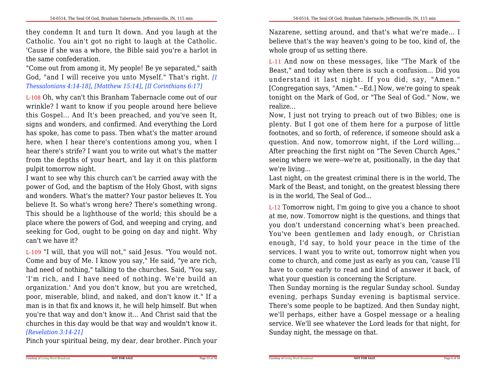they condemn It and turn It down. And you laugh at the Catholic. You ain't got no right to laugh at the Catholic. 'Cause if she was a whore, the Bible said you're a harlot inthe same confederation.

"Come out from among it, My people! Be ye separated," saith God, "and I will receive you unto Myself." That's right. *[IThessalonians 4:14-18]*, *[Matthew 15:14]*, *[II Corinthians 6:17]*

L-108 Oh, why can't this Branham Tabernacle come out of our wrinkle? I want to know if you people around here believe this Gospel... And It's been preached, and you've seen It,signs and wonders, and confirmed. And everything the Lord has spoke, has come to pass. Then what's the matter around here, when I hear there's contentions among you, when I hear there's strife? I want you to write out what's the matter from the depths of your heart, and lay it on this platformpulpit tomorrow night.

 I want to see why this church can't be carried away with the power of God, and the baptism of the Holy Ghost, with signs and wonders. What's the matter? Your pastor believes It. You believe It. So what's wrong here? There's something wrong. This should be a lighthouse of the world; this should be a place where the powers of God, and weeping and crying, and seeking for God, ought to be going on day and night. Whycan't we have it?

L-109 "I will, that you will not," said Jesus. "You would not. Come and buy of Me. I know you say," He said, "ye are rich,had need of nothing," talking to the churches. Said, "You say, 'I'm rich, and I have need of nothing. We're build an organization.' And you don't know, but you are wretched, poor, miserable, blind, and naked, and don't know it." If a man is in that fix and knows it, he will help himself. But when you're that way and don't know it... And Christ said that the churches in this day would be that way and wouldn't know it.*[Revelation 3:14-21]*

Pinch your spiritual being, my dear, dear brother. Pinch your

Nazarene, setting around, and that's what we're made... I believe that's the way heaven's going to be too, kind of, thewhole group of us setting there.

L-11 And now on these messages, like "The Mark of the Beast," and today when there is such a confusion... Did you understand it last night. If you did, say, "Amen." [Congregation says, "Amen." --Ed.] Now, we're going to speak tonight on the Mark of God, or "The Seal of God." Now, werealize...

 Now, I just not trying to preach out of two Bibles; one is plenty. But I got one of them here for a purpose of little footnotes, and so forth, of reference, if someone should ask a question. And now, tomorrow night, if the Lord willing... After preaching the first night on "The Seven Church Ages," seeing where we were--we're at, positionally, in the day thatwe're living...

 Last night, on the greatest criminal there is in the world, The Mark of the Beast, and tonight, on the greatest blessing thereis in the world, The Seal of God...

L-12 Tomorrow night, I'm going to give you a chance to shoot at me, now. Tomorrow night is the questions, and things that you don't understand concerning what's been preached. You've been gentlemen and lady enough, or Christian enough, I'd say, to hold your peace in the time of the services. I want you to write out, tomorrow night when you come to church, and come just as early as you can, 'cause I'llhave to come early to read and kind of answer it back, ofwhat your question is concerning the Scripture.

 Then Sunday morning is the regular Sunday school. Sunday evening, perhaps Sunday evening is baptismal service. There's some people to be baptized. And then Sunday night, we'll perhaps, either have a Gospel message or a healing service. We'll see whatever the Lord leads for that night, forSunday night, the message on that.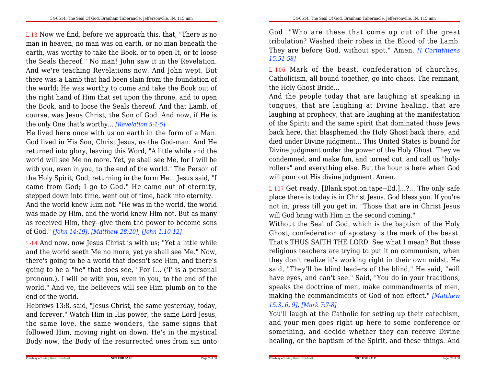L-13 Now we find, before we approach this, that, "There is no man in heaven, no man was on earth, or no man beneath the earth, was worthy to take the Book, or to open It, or to loose the Seals thereof." No man! John saw it in the Revelation.And we're teaching Revelations now. And John wept. But there was a Lamb that had been slain from the foundation of the world; He was worthy to come and take the Book out of the right hand of Him that set upon the throne, and to open the Book, and to loose the Seals thereof. And that Lamb, of course, was Jesus Christ, the Son of God. And now, if He isthe only One that's worthy... *[Revelation 5:1-5]*

 He lived here once with us on earth in the form of a Man.God lived in His Son, Christ Jesus, as the God-man. And He returned into glory, leaving this Word, "A little while and the world will see Me no more. Yet, ye shall see Me, for I will be with you, even in you, to the end of the world." The Person of the Holy Spirit, God, returning in the form He... Jesus said, "I came from God; I go to God." He came out of eternity,stepped down into time, went out of time, back into eternity.And the world knew Him not. "He was in the world, the world was made by Him, and the world knew Him not. But as many as received Him, they--give them the power to become sonsof God." *[John 14:19]*, *[Matthew 28:20]*, *[John 1:10-12]*

L-14 And now, now Jesus Christ is with us; "Yet a little while and the world seeth Me no more, yet ye shall see Me." Now, there's going to be a world that doesn't see Him, and there's going to be a "he" that does see, "For I... ('I' is a personal pronoun.), I will be with you, even in you, to the end of the world." And ye, the believers will see Him plumb on to theend of the world.

Hebrews 13:8, said, "Jesus Christ, the same yesterday, today, and forever." Watch Him in His power, the same Lord Jesus,the same love, the same wonders, the same signs that followed Him, moving right on down. He's in the mysticalBody now, the Body of the resurrected ones from sin unto God. "Who are these that come up out of the great tribulation? Washed their robes in the Blood of the Lamb. They are before God, without spot." Amen. *[I Corinthians15:51-58]*

L-106 Mark of the beast, confederation of churches, Catholicism, all bound together, go into chaos. The remnant,the Holy Ghost Bride...

And the people today that are laughing at speaking in tongues, that are laughing at Divine healing, that are laughing at prophecy, that are laughing at the manifestation of the Spirit; and the same spirit that dominated those Jews back here, that blasphemed the Holy Ghost back there, and died under Divine judgment... This United States is bound for Divine judgment under the power of the Holy Ghost. They've condemned, and make fun, and turned out, and call us "holyrollers" and everything else. But the hour is here when Godwill pour out His divine judgment. Amen.

L-107 Get ready. [Blank.spot.on.tape--Ed.]...?... The only safe place there is today is in Christ Jesus. God bless you. If you're not in, press till you get in. "Those that are in Christ Jesuswill God bring with Him in the second coming."

 Without the Seal of God, which is the baptism of the Holy Ghost, confederation of apostasy is the mark of the beast.That's THUS SAITH THE LORD. See what I mean? But these religious teachers are trying to put it on communism, when they don't realize it's working right in their own midst. He said, "They'll be blind leaders of the blind," He said, "willhave eyes, and can't see." Said, "You do in your traditions, speaks the doctrine of men, make commandments of men,making the commandments of God of non effect." *[Matthew15:3, 6, 9]*, *[Mark 7:7-8]*

You'll laugh at the Catholic for setting up their catechism, and your men goes right up here to some conference or something, and decide whether they can receive Divinehealing, or the baptism of the Spirit, and these things. And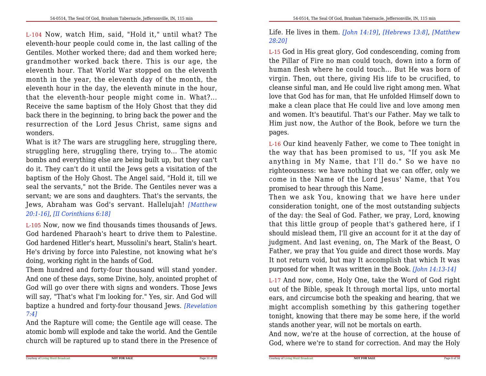L-104 Now, watch Him, said, "Hold it," until what? The eleventh-hour people could come in, the last calling of the Gentiles. Mother worked there; dad and them worked here;grandmother worked back there. This is our age, the eleventh hour. That World War stopped on the eleventh month in the year, the eleventh day of the month, the eleventh hour in the day, the eleventh minute in the hour,that the eleventh-hour people might come in. What?... Receive the same baptism of the Holy Ghost that they did back there in the beginning, to bring back the power and the resurrection of the Lord Jesus Christ, same signs andwonders.

What is it? The wars are struggling here, struggling there, struggling here, struggling there, trying to... The atomic bombs and everything else are being built up, but they can't do it. They can't do it until the Jews gets a visitation of the baptism of the Holy Ghost. The Angel said, "Hold it, till we seal the servants," not the Bride. The Gentiles never was a servant; we are sons and daughters. That's the servants, the Jews, Abraham was God's servant. Hallelujah! *[Matthew20:1-16]*, *[II Corinthians 6:18]*

L-105 Now, now we find thousands times thousands of Jews. God hardened Pharaoh's heart to drive them to Palestine.God hardened Hitler's heart, Mussolini's heart, Stalin's heart. He's driving by force into Palestine, not knowing what he'sdoing, working right in the hands of God.

Them hundred and forty-four thousand will stand yonder. And one of these days, some Divine, holy, anointed prophet of God will go over there with signs and wonders. Those Jews will say, "That's what I'm looking for." Yes, sir. And God willbaptize a hundred and forty-four thousand Jews. *[Revelation7:4]*

 And the Rapture will come; the Gentile age will cease. The atomic bomb will explode and take the world. And the Gentilechurch will be raptured up to stand there in the Presence of Life. He lives in them. *[John 14:19]*, *[Hebrews 13:8]*, *[Matthew28:20]*

L-15 God in His great glory, God condescending, coming from the Pillar of Fire no man could touch, down into a form of human flesh where he could touch... But He was born of virgin. Then, out there, giving His life to be crucified, to cleanse sinful man, and He could live right among men. What love that God has for man, that He unfolded Himself down to make a clean place that He could live and love among men and women. It's beautiful. That's our Father. May we talk to Him just now, the Author of the Book, before we turn thepages.

L-16 Our kind heavenly Father, we come to Thee tonight in the way that has been promised to us, "If you ask Me anything in My Name, that I'll do." So we have no righteousness: we have nothing that we can offer, only we come in the Name of the Lord Jesus' Name, that Youpromised to hear through this Name.

Then we ask You, knowing that we have here under consideration tonight, one of the most outstanding subjects of the day: the Seal of God. Father, we pray, Lord, knowing that this little group of people that's gathered here, if I should mislead them, I'll give an account for it at the day of judgment. And last evening, on, The Mark of the Beast, O Father, we pray that You guide and direct those words. May It not return void, but may It accomplish that which It waspurposed for when It was written in the Book. *[John 14:13-14]*

L-17 And now, come, Holy One, take the Word of God right out of the Bible, speak It through mortal lips, unto mortalears, and circumcise both the speaking and hearing, that we might accomplish something by this gathering together tonight, knowing that there may be some here, if the worldstands another year, will not be mortals on earth.

And now, we're at the house of correction, at the house ofGod, where we're to stand for correction. And may the Holy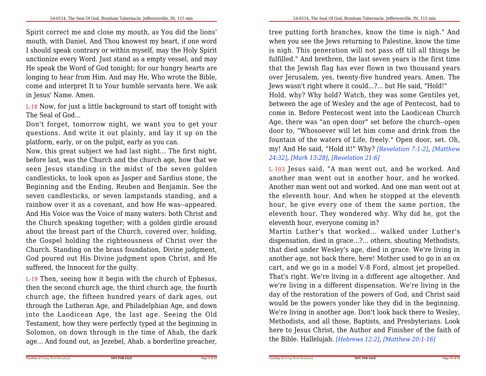Spirit correct me and close my mouth, as You did the lions'mouth, with Daniel. And Thou knowest my heart, if one word I should speak contrary or within myself, may the Holy Spirit unctionize every Word. Just stand as a empty vessel, and may He speak the Word of God tonight; for our hungry hearts are longing to hear from Him. And may He, Who wrote the Bible,come and interpret It to Your humble servants here. We askin Jesus' Name. Amen.

L-18 Now, for just a little background to start off tonight withThe Seal of God...

Don't forget, tomorrow night, we want you to get your questions. And write it out plainly, and lay it up on theplatform, early, or on the pulpit, early as you can.

 Now, this great subject we had last night... The first night,before last, was the Church and the church age, how that we seen Jesus standing in the midst of the seven golden candlesticks, to look upon as Jasper and Sardius stone, the Beginning and the Ending, Reuben and Benjamin. See the seven candlesticks, or seven lampstands standing, and a rainbow over it as a covenant, and how He was--appeared. And His Voice was the Voice of many waters: both Christ and the Church speaking together; with a golden girdle around about the breast part of the Church, covered over, holding,the Gospel holding the righteousness of Christ over the Church. Standing on the brass foundation, Divine judgment,God poured out His Divine judgment upon Christ, and Hesuffered, the Innocent for the guilty.

L-19 Then, seeing how it begin with the church of Ephesus,then the second church age, the third church age, the fourth church age, the fifteen hundred years of dark ages, out through the Lutheran Age, and Philadelphian Age, and down into the Laodicean Age, the last age. Seeing the Old Testament, how they were perfectly typed at the beginning in Solomon, on down through in the time of Ahab, the darkage... And found out, as Jezebel, Ahab, a borderline preacher,

tree putting forth branches, know the time is nigh." And when you see the Jews returning to Palestine, know the time is nigh. This generation will not pass off till all things be fulfilled." And brethren, the last seven years is the first time that the Jewish flag has ever flown in two thousand years over Jerusalem, yes, twenty-five hundred years. Amen. TheJews wasn't right where it could...?... but He said, "Hold!" Hold, why? Why hold? Watch, they was some Gentiles yet,between the age of Wesley and the age of Pentecost, had to come in. Before Pentecost went into the Laodicean Church Age, there was "an open door" set before the church--open door to, "Whosoever will let him come and drink from the fountain of the waters of Life, freely." Open door, set. Oh, my! And He said, "Hold it!" Why? *[Revelation 7:1-2]*, *[Matthew24:32]*, *[Mark 13:28]*, *[Revelation 21:6]*

L-103 Jesus said, "A man went out, and he worked. And another man went out in another hour, and he worked.Another man went out and worked. And one man went out at the eleventh hour. And when he stopped at the eleventh hour, he give every one of them the same portion, the eleventh hour. They wondered why. Why did he, got theeleventh hour, everyone coming in?

 Martin Luther's that worked... walked under Luther's dispensation, died in grace...?... others, shouting Methodists, that died under Wesley's age, died in grace. We're living in another age, not back there, here! Mother used to go in an ox cart, and we go in a model V-8 Ford, almost jet propelled. That's right. We're living in a different age altogether. And we're living in a different dispensation. We're living in the day of the restoration of the powers of God, and Christ said would be the powers yonder like they did in the beginning. We're living in another age. Don't look back there to Wesley,Methodists, and all those, Baptists, and Presbyterians. Look here to Jesus Christ, the Author and Finisher of the faith ofthe Bible. Hallelujah. *[Hebrews 12:2]*, *[Matthew 20:1-16]*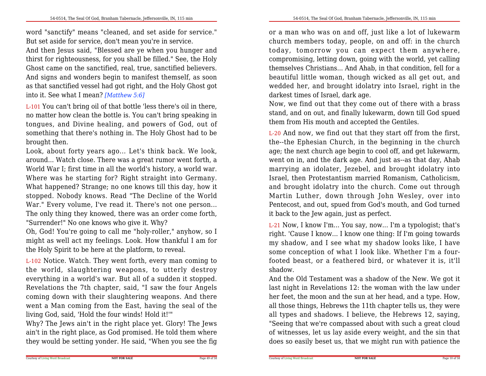word "sanctify" means "cleaned, and set aside for service."But set aside for service, don't mean you're in service.

 And then Jesus said, "Blessed are ye when you hunger and thirst for righteousness, for you shall be filled." See, the Holy Ghost came on the sanctified, real, true, sanctified believers.And signs and wonders begin to manifest themself, as soon as that sanctified vessel had got right, and the Holy Ghost gotinto it. See what I mean? *[Matthew 5:6]*

L-101 You can't bring oil of that bottle 'less there's oil in there, no matter how clean the bottle is. You can't bring speaking in tongues, and Divine healing, and powers of God, out of something that there's nothing in. The Holy Ghost had to bebrought then.

 Look, about forty years ago... Let's think back. We look,around... Watch close. There was a great rumor went forth, a World War I; first time in all the world's history, a world war. Where was he starting for? Right straight into Germany.What happened? Strange; no one knows till this day, how it stopped. Nobody knows. Read "The Decline of the World War." Every volume, I've read it. There's not one person... The only thing they knowed, there was an order come forth,"Surrender!" No one knows who give it. Why?

 Oh, God! You're going to call me "holy-roller," anyhow, so I might as well act my feelings. Look. How thankful I am forthe Holy Spirit to be here at the platform, to reveal.

L-102 Notice. Watch. They went forth, every man coming to the world, slaughtering weapons, to utterly destroy everything in a world's war. But all of a sudden it stopped.Revelations the 7th chapter, said, "I saw the four Angels coming down with their slaughtering weapons. And there went a Man coming from the East, having the seal of theliving God, said, 'Hold the four winds! Hold it!'"

 Why? The Jews ain't in the right place yet. Glory! The Jews ain't in the right place, as God promised. He told them wherethey would be setting yonder. He said, "When you see the fig or a man who was on and off, just like a lot of lukewarm church members today, people, on and off: in the church today, tomorrow you can expect them anywhere, compromising, letting down, going with the world, yet calling themselves Christians... And Ahab, in that condition, fell for a beautiful little woman, though wicked as all get out, and wedded her, and brought idolatry into Israel, right in thedarkest times of Israel, dark age.

Now, we find out that they come out of there with a brass stand, and on out, and finally lukewarm, down till God spuedthem from His mouth and accepted the Gentiles.

L-20 And now, we find out that they start off from the first, the--the Ephesian Church, in the beginning in the church age; the next church age begin to cool off, and get lukewarm,went on in, and the dark age. And just as--as that day, Ahab marrying an idolater, Jezebel, and brought idolatry into Israel, then Protestantism married Romanism, Catholicism,and brought idolatry into the church. Come out through Martin Luther, down through John Wesley, over into Pentecost, and out, spued from God's mouth, and God turnedit back to the Jew again, just as perfect.

L-21 Now, I know I'm... You say, now... I'm a typologist; that's right. 'Cause I know... I know one thing: If I'm going towards my shadow, and I see what my shadow looks like, I have some conception of what I look like. Whether I'm a fourfooted beast, or a feathered bird, or whatever it is, it'llshadow.

 And the Old Testament was a shadow of the New. We got it last night in Revelations 12: the woman with the law under her feet, the moon and the sun at her head, and a type. How,all those things, Hebrews the 11th chapter tells us, they were all types and shadows. I believe, the Hebrews 12, saying, "Seeing that we're compassed about with such a great cloud of witnesses, let us lay aside every weight, and the sin thatdoes so easily beset us, that we might run with patience the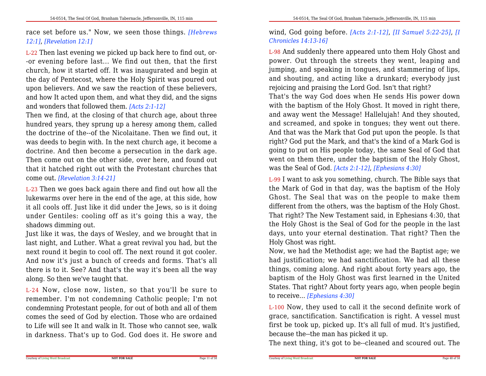race set before us." Now, we seen those things. *[Hebrews12:1]*, *[Revelation 12:1]*

L-22 Then last evening we picked up back here to find out, or- -or evening before last... We find out then, that the first church, how it started off. It was inaugurated and begin at the day of Pentecost, where the Holy Spirit was poured out upon believers. And we saw the reaction of these believers,and how It acted upon them, and what they did, and the signsand wonders that followed them. *[Acts 2:1-12]*

 Then we find, at the closing of that church age, about three hundred years, they sprung up a heresy among them, called the doctrine of the--of the Nicolaitane. Then we find out, it was deeds to begin with. In the next church age, it become a doctrine. And then become a persecution in the dark age.Then come out on the other side, over here, and found out that it hatched right out with the Protestant churches thatcome out. *[Revelation 3:14-21]*

L-23 Then we goes back again there and find out how all the lukewarms over here in the end of the age, at this side, how it all cools off. Just like it did under the Jews, so is it doing under Gentiles: cooling off as it's going this a way, theshadows dimming out.

 Just like it was, the days of Wesley, and we brought that in last night, and Luther. What a great revival you had, but the next round it begin to cool off. The next round it got cooler. And now it's just a bunch of creeds and forms. That's allthere is to it. See? And that's the way it's been all the wayalong. So then we've taught that.

L-24 Now, close now, listen, so that you'll be sure to remember. I'm not condemning Catholic people; I'm not condemning Protestant people, for out of both and all of them comes the seed of God by election. Those who are ordained to Life will see It and walk in It. Those who cannot see, walkin darkness. That's up to God. God does it. He swore and

wind, God going before. *[Acts 2:1-12]*, *[II Samuel 5:22-25]*, *[IChronicles 14:13-16]*

L-98 And suddenly there appeared unto them Holy Ghost and power. Out through the streets they went, leaping and jumping, and speaking in tongues, and stammering of lips,and shouting, and acting like a drunkard; everybody justrejoicing and praising the Lord God. Isn't that right?

 That's the way God does when He sends His power down with the baptism of the Holy Ghost. It moved in right there,and away went the Message! Hallelujah! And they shouted,and screamed, and spoke in tongues; they went out there.And that was the Mark that God put upon the people. Is that right? God put the Mark, and that's the kind of a Mark God is going to put on His people today, the same Seal of God that went on them there, under the baptism of the Holy Ghost,was the Seal of God. *[Acts 2:1-12]*, *[Ephesians 4:30]*

L-99 I want to ask you something, church. The Bible says that the Mark of God in that day, was the baptism of the Holy Ghost. The Seal that was on the people to make them different from the others, was the baptism of the Holy Ghost.That right? The New Testament said, in Ephesians 4:30, that the Holy Ghost is the Seal of God for the people in the last days, unto your eternal destination. That right? Then theHoly Ghost was right.

 Now, we had the Methodist age; we had the Baptist age; we had justification; we had sanctification. We had all these things, coming along. And right about forty years ago, the baptism of the Holy Ghost was first learned in the United States. That right? About forty years ago, when people beginto receive... *[Ephesians 4:30]*

L-100 Now, they used to call it the second definite work of grace, sanctification. Sanctification is right. A vessel must first be took up, picked up. It's all full of mud. It's justified,because the--the man has picked it up.

The next thing, it's got to be--cleaned and scoured out. The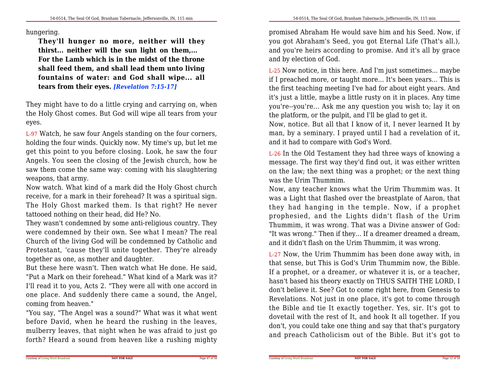#### hungering.

**They'll hunger no more, neither will they thirst... neither will the sun light on them,... For the Lamb which is in the midst of the throne shall feed them, and shall lead them unto living fountains of water: and God shall wipe... alltears from their eyes.** *[Revelation 7:15-17]*

They might have to do a little crying and carrying on, when the Holy Ghost comes. But God will wipe all tears from youreyes.

L-97 Watch, he saw four Angels standing on the four corners,holding the four winds. Quickly now. My time's up, but let me get this point to you before closing. Look, he saw the four Angels. You seen the closing of the Jewish church, how he saw them come the same way: coming with his slaughteringweapons, that army.

Now watch. What kind of a mark did the Holy Ghost church receive, for a mark in their forehead? It was a spiritual sign.The Holy Ghost marked them. Is that right? He nevertattooed nothing on their head, did He? No.

 They wasn't condemned by some anti-religious country. They were condemned by their own. See what I mean? The realChurch of the living God will be condemned by Catholic and Protestant, 'cause they'll unite together. They're alreadytogether as one, as mother and daughter.

 But these here wasn't. Then watch what He done. He said,"Put a Mark on their forehead." What kind of a Mark was it? I'll read it to you, Acts 2. "They were all with one accord in one place. And suddenly there came a sound, the Angel,coming from heaven."

 "You say, "The Angel was a sound?" What was it what went before David, when he heard the rushing in the leaves, mulberry leaves, that night when he was afraid to just goforth? Heard a sound from heaven like a rushing mighty promised Abraham He would save him and his Seed. Now, if you got Abraham's Seed, you got Eternal Life (That's all.),and you're heirs according to promise. And it's all by graceand by election of God.

L-25 Now notice, in this here. And I'm just sometimes... maybe if I preached more, or taught more... It's been years... This is the first teaching meeting I've had for about eight years. And it's just a little, maybe a little rusty on it in places. Any time you're--you're... Ask me any question you wish to; lay it onthe platform, or the pulpit, and I'll be glad to get it.

Now, notice. But all that I know of it, I never learned It by man, by a seminary. I prayed until I had a revelation of it,and it had to compare with God's Word.

L-26 In the Old Testament they had three ways of knowing a message. The first way they'd find out, it was either written on the law; the next thing was a prophet; or the next thingwas the Urim Thummim.

Now, any teacher knows what the Urim Thummim was. It was a Light that flashed over the breastplate of Aaron, that they had hanging in the temple. Now, if <sup>a</sup> prophet prophesied, and the Lights didn't flash of the Urim Thummim, it was wrong. That was a Divine answer of God: "It was wrong." Then if they... If a dreamer dreamed a dream,and it didn't flash on the Urim Thummim, it was wrong.

L-27 Now, the Urim Thummim has been done away with, in that sense, but This is God's Urim Thummim now, the Bible.If a prophet, or a dreamer, or whatever it is, or a teacher,hasn't based his theory exactly on THUS SAITH THE LORD, I don't believe it. See? Got to come right here, from Genesis to Revelations. Not just in one place, it's got to come through the Bible and tie It exactly together. Yes, sir. It's got to dovetail with the rest of It, and hook It all together. If you don't, you could take one thing and say that that's purgatoryand preach Catholicism out of the Bible. But it's got to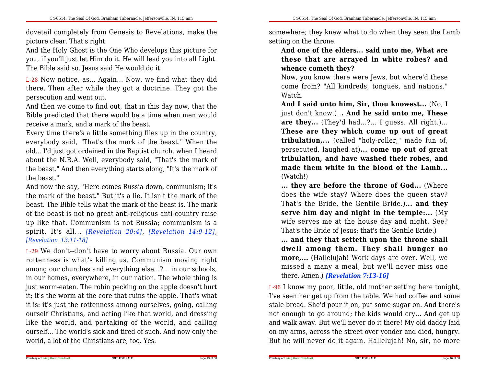dovetail completely from Genesis to Revelations, make thepicture clear. That's right.

And the Holy Ghost is the One Who develops this picture for you, if you'll just let Him do it. He will lead you into all Light.The Bible said so. Jesus said He would do it.

L-28 Now notice, as... Again... Now, we find what they did there. Then after while they got a doctrine. They got thepersecution and went out.

And then we come to find out, that in this day now, that the Bible predicted that there would be a time when men wouldreceive a mark, and a mark of the beast.

Every time there's a little something flies up in the country,everybody said, "That's the mark of the beast." When the old... I'd just got ordained in the Baptist church, when I heard about the N.R.A. Well, everybody said, "That's the mark of the beast." And then everything starts along, "It's the mark ofthe beast."

 And now the say, "Here comes Russia down, communism; it's the mark of the beast." But it's a lie. It isn't the mark of the beast. The Bible tells what the mark of the beast is. The mark of the beast is not no great anti-religious anti-country raise up like that. Communism is not Russia; communism is a spirit. It's all... *[Revelation 20:4]*, *[Revelation 14:9-12]*, *[Revelation 13:11-18]*

L-29 We don't--don't have to worry about Russia. Our own rottenness is what's killing us. Communism moving right among our churches and everything else...?... in our schools,in our homes, everywhere, in our nation. The whole thing is just worm-eaten. The robin pecking on the apple doesn't hurt it; it's the worm at the core that ruins the apple. That's what it is: it's just the rottenness among ourselves, going, calling ourself Christians, and acting like that world, and dressing like the world, and partaking of the world, and calling ourself... The world's sick and tired of such. And now only theworld, a lot of the Christians are, too. Yes.

somewhere; they knew what to do when they seen the Lambsetting on the throne.

**And one of the elders... said unto me, What are these that are arrayed in white robes? andwhence cometh they?**

 Now, you know there were Jews, but where'd these come from? "All kindreds, tongues, and nations."Watch.

**And I said unto him, Sir, thou knowest...** (No, Ijust don't know.)..**. And he said unto me, These are they...** (They'd had...?... I guess. All right.)...**These are they which come up out of great tribulation,...** (called "holy-roller," made fun of, persecuted, laughed at)**... come up out of great tribulation, and have washed their robes, and made them white in the blood of the Lamb...**(Watch!)

**... they are before the throne of God...** (Where does the wife stay? Where does the queen stay? That's the Bride, the Gentile Bride.).**.. and they serve him day and night in the temple:...** (My wife serves me at the house day and night. See?That's the Bride of Jesus; that's the Gentile Bride.)

 **... and they that setteth upon the throne shall dwell among them. They shall hunger no more,...** (Hallelujah! Work days are over. Well, we missed a many a meal, but we'll never miss onethere. Amen.) *[Revelation 7:13-16]*

L-96 I know my poor, little, old mother setting here tonight,I've seen her get up from the table. We had coffee and some stale bread. She'd pour it on, put some sugar on. And there's not enough to go around; the kids would cry... And get up and walk away. But we'll never do it there! My old daddy laid on my arms, across the street over yonder and died, hungry.But he will never do it again. Hallelujah! No, sir, no more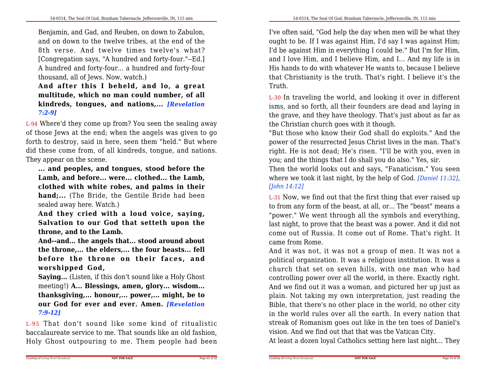Benjamin, and Gad, and Reuben, on down to Zabulon,and on down to the twelve tribes, at the end of the 8th verse. And twelve times twelve's what? [Congregation says, "A hundred and forty-four."--Ed.] A hundred and forty-four... a hundred and forty-fourthousand, all of Jews. Now, watch.)

# **And after this <sup>I</sup> beheld, and lo, <sup>a</sup> great multitude, which no man could number, of all kindreds, tongues, and nations,...** *[Revelation7:2-9]*

L-94 Where'd they come up from? You seen the sealing away of those Jews at the end; when the angels was given to go forth to destroy, said in here, seen them "held." But where did these come from, of all kindreds, tongue, and nations.They appear on the scene.

**... and peoples, and tongues, stood before the Lamb, and before... were... clothed... the Lamb, clothed with white robes, and palms in their hand;...** (The Bride, the Gentile Bride had beensealed away here. Watch.)

 **And they cried with <sup>a</sup> loud voice, saying, Salvation to our God that setteth upon thethrone, and to the Lamb.**

**And--and... the angels that... stood around about the throne,... the elders,... the four beasts... fellbefore the throne on their faces, andworshipped God,**

**Saying...** (Listen, if this don't sound like a Holy Ghost meeting!) **A... Blessings, amen, glory... wisdom... thanksgiving,... honour,... power,... might, be to our God for ever and ever. Amen.** *[Revelation7:9-12]*

L-95 That don't sound like some kind of ritualistic baccalaureate service to me. That sounds like an old fashion,Holy Ghost outpouring to me. Them people had been

I've often said, "God help the day when men will be what they ought to be. If I was against Him, I'd say I was against Him;I'd be against Him in everything I could be." But I'm for Him,and I love Him, and I believe Him, and I... And my life is in His hands to do with whatever He wants to, because I believe that Christianity is the truth. That's right. I believe it's theTruth.

L-30 In traveling the world, and looking it over in different isms, and so forth, all their founders are dead and laying in the grave, and they have theology. That's just about as far asthe Christian church goes with it though.

 "But those who know their God shall do exploits." And the power of the resurrected Jesus Christ lives in the man. That's right. He is not dead; He's risen. "I'll be with you, even inyou; and the things that I do shall you do also." Yes, sir.

Then the world looks out and says, "Fanaticism." You seen where we took it last night, by the help of God. *[Daniel 11:32]*,*[John 14:12]*

L-31 Now, we find out that the first thing that ever raised up to from any form of the beast, at all, or... The "beast" means a "power." We went through all the symbols and everything,last night, to prove that the beast was a power. And it did not come out of Russia. It come out of Rome. That's right. Itcame from Rome.

 And it was not, it was not a group of men. It was not a political organization. It was a religious institution. It was a church that set on seven hills, with one man who had controlling power over all the world, in there. Exactly right.And we find out it was a woman, and pictured her up just as plain. Not taking my own interpretation, just reading the Bible, that there's no other place in the world, no other city in the world rules over all the earth. In every nation that streak of Romanism goes out like in the ten toes of Daniel'svision. And we find out that that was the Vatican City.

At least a dozen loyal Catholics setting here last night... They

**NOT FOR SALE**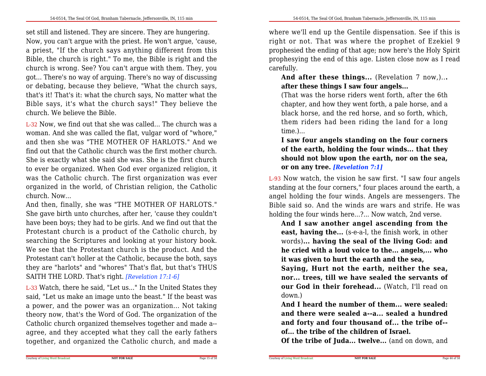set still and listened. They are sincere. They are hungering.Now, you can't argue with the priest. He won't argue, 'cause,a priest, "If the church says anything different from this Bible, the church is right." To me, the Bible is right and the church is wrong. See? You can't argue with them. They, you got... There's no way of arguing. There's no way of discussing or debating, because they believe, "What the church says,that's it! That's it: what the church says, No matter what the Bible says, it's what the church says!" They believe thechurch. We believe the Bible.

L-32 Now, we find out that she was called... The church was a woman. And she was called the flat, vulgar word of "whore," and then she was "THE MOTHER OF HARLOTS." And we find out that the Catholic church was the first mother church.She is exactly what she said she was. She is the first church to ever be organized. When God ever organized religion, it was the Catholic church. The first organization was ever organized in the world, of Christian religion, the Catholicchurch. Now...

And then, finally, she was "THE MOTHER OF HARLOTS." She gave birth unto churches, after her, 'cause they couldn't have been boys; they had to be girls. And we find out that the Protestant church is a product of the Catholic church, by searching the Scriptures and looking at your history book. We see that the Protestant church is the product. And the Protestant can't holler at the Catholic, because the both, says they are "harlots" and "whores" That's flat, but that's THUSSAITH THE LORD. That's right. *[Revelation 17:1-6]*

L-33 Watch, there he said, "Let us..." In the United States they said, "Let us make an image unto the beast." If the beast was a power, and the power was an organization... Not taking theory now, that's the Word of God. The organization of the Catholic church organized themselves together and made a- agree, and they accepted what they call the early fatherstogether, and organized the Catholic church, and made a

where we'll end up the Gentile dispensation. See if this is right or not. That was where the prophet of Ezekiel 9 prophesied the ending of that age; now here's the Holy Spirit prophesying the end of this age. Listen close now as I readcarefully.

**And after these things...** (Revelation 7 now,)..**.after these things I saw four angels...**

 (That was the horse riders went forth, after the 6th chapter, and how they went forth, a pale horse, and a black horse, and the red horse, and so forth, which, them riders had been riding the land for a longtime.)...

# **I saw four angels standing on the four corners of the earth, holding the four winds... that they should not blow upon the earth, nor on the sea,or on any tree.** *[Revelation 7:1]*

L-93 Now watch, the vision he saw first. "I saw four angels standing at the four corners," four places around the earth, a angel holding the four winds. Angels are messengers. The Bible said so. And the winds are wars and strife. He washolding the four winds here...?... Now watch, 2nd verse.

**And I saw another angel ascending from the east, having the...** (s-e-a-l, the finish work, in other words)**... having the seal of the living God: and he cried with a loud voice to the... angels,... whoit was given to hurt the earth and the sea,**

 **Saying, Hurt not the earth, neither the sea,nor... trees, till we have sealed the servants of our God in their forehead...** (Watch, I'll read ondown.)

**And I heard the number of them... were sealed: and there were sealed a--a... sealed a hundred and forty and four thousand of... the tribe of-of... the tribe of the children of Israel.**

**Of the tribe of Juda... twelve...** (and on down, and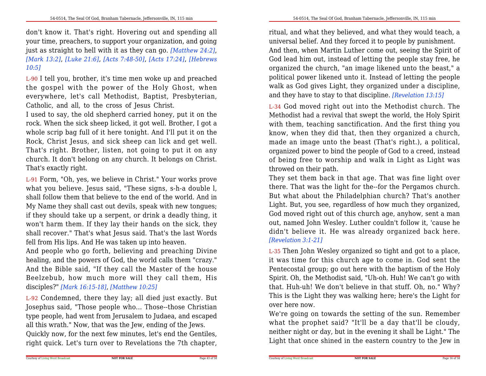don't know it. That's right. Hovering out and spending allyour time, preachers, to support your organization, and going just as straight to hell with it as they can go. *[Matthew 24:2]*,*[Mark 13:2]*, *[Luke 21:6]*, *[Acts 7:48-50]*, *[Acts 17:24]*, *[Hebrews10:5]*

L-90 I tell you, brother, it's time men woke up and preached the gospel with the power of the Holy Ghost, when everywhere, let's call Methodist, Baptist, Presbyterian, Catholic, and all, to the cross of Jesus Christ.

I used to say, the old shepherd carried honey, put it on the rock. When the sick sheep licked, it got well. Brother, I got a whole scrip bag full of it here tonight. And I'll put it on the Rock, Christ Jesus, and sick sheep can lick and get well. That's right. Brother, listen, not going to put it on any church. It don't belong on any church. It belongs on Christ.That's exactly right.

L-91 Form, "Oh, yes, we believe in Christ." Your works prove what you believe. Jesus said, "These signs, s-h-a double l, shall follow them that believe to the end of the world. And in My Name they shall cast out devils, speak with new tongues;if they should take up a serpent, or drink a deadly thing, it won't harm them. If they lay their hands on the sick, they shall recover." That's what Jesus said. That's the last Wordsfell from His lips. And He was taken up into heaven.

 And people who go forth, believing and preaching Divine healing, and the powers of God, the world calls them "crazy." And the Bible said, "If they call the Master of the house Beelzebub, how much more will they call them, His disciples?" *[Mark 16:15-18]*, *[Matthew 10:25]*

L-92 Condemned, there they lay; all died just exactly. But Josephus said, "Those people who... Those--those Christian type people, had went from Jerusalem to Judaea, and escapedall this wrath." Now, that was the Jew, ending of the Jews.

 Quickly now, for the next few minutes, let's end the Gentiles,right quick. Let's turn over to Revelations the 7th chapter, ritual, and what they believed, and what they would teach, a universal belief. And they forced it to people by punishment. And then, when Martin Luther come out, seeing the Spirit of God lead him out, instead of letting the people stay free, he organized the church, "an image likened unto the beast," a political power likened unto it. Instead of letting the people walk as God gives Light, they organized under a discipline,and they have to stay to that discipline. *[Revelation 13:15]*

L-34 God moved right out into the Methodist church. The Methodist had a revival that swept the world, the Holy Spirit with them, teaching sanctification. And the first thing you know, when they did that, then they organized a church,made an image unto the beast (That's right.), a political, organized power to bind the people of God to a creed, instead of being free to worship and walk in Light as Light wasthrowed on their path.

 They set them back in that age. That was fine light over there. That was the light for the--for the Pergamos church. But what about the Philadelphian church? That's another Light. But, you see, regardless of how much they organized, God moved right out of this church age, anyhow, sent a man out, named John Wesley. Luther couldn't follow it, 'cause he didn't believe it. He was already organized back here.*[Revelation 3:1-21]*

L-35 Then John Wesley organized so tight and got to a place,it was time for this church age to come in. God sent the Pentecostal group; go out here with the baptism of the Holy Spirit. Oh, the Methodist said, "Uh-oh. Huh! We can't go with that. Huh-uh! We don't believe in that stuff. Oh, no." Why? This is the Light they was walking here; here's the Light forover here now.

We're going on towards the setting of the sun. Remember what the prophet said? "It'll be a day that'll be cloudy, neither night or day, but in the evening it shall be Light." TheLight that once shined in the eastern country to the Jew in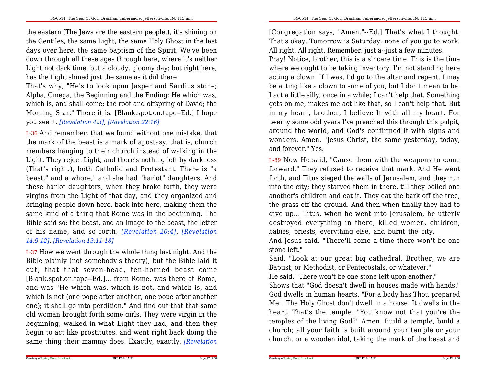the eastern (The Jews are the eastern people.), it's shining on the Gentiles, the same Light, the same Holy Ghost in the last days over here, the same baptism of the Spirit. We've been down through all these ages through here, where it's neither Light not dark time, but a cloudy, gloomy day; but right here,has the Light shined just the same as it did there.

That's why, "He's to look upon Jasper and Sardius stone;Alpha, Omega, the Beginning and the Ending; He which was,which is, and shall come; the root and offspring of David; the Morning Star." There it is. [Blank.spot.on.tape--Ed.] I hopeyou see it. *[Revelation 4:3]*, *[Revelation 22:16]*

L-36 And remember, that we found without one mistake, that the mark of the beast is a mark of apostasy, that is, church members hanging to their church instead of walking in the Light. They reject Light, and there's nothing left by darkness (That's right.), both Catholic and Protestant. There is "a beast," and a whore," and she had "harlot" daughters. And these harlot daughters, when they broke forth, they were virgins from the Light of that day, and they organized and bringing people down here, back into here, making them the same kind of a thing that Rome was in the beginning. The Bible said so: the beast, and an image to the beast, the letter of his name, and so forth. *[Revelation 20:4]*, *[Revelation 14:9-12]*, *[Revelation 13:11-18]*

L-37 How we went through the whole thing last night. And the Bible plainly (not somebody's theory), but the Bible laid it out, that that seven-head, ten-horned beast come [Blank.spot.on.tape--Ed.]... from Rome, was there at Rome,and was "He which was, which is not, and which is, and which is not (one pope after another, one pope after another one); it shall go into perdition." And find out that that same old woman brought forth some girls. They were virgin in the beginning, walked in what Light they had, and then they begin to act like prostitutes, and went right back doing thesame thing their mammy does. Exactly, exactly. *[Revelation*

[Congregation says, "Amen."--Ed.] That's what I thought. That's okay. Tomorrow is Saturday, none of you go to work.All right. All right. Remember, just a--just a few minutes.

Pray! Notice, brother, this is a sincere time. This is the time where we ought to be taking inventory. I'm not standing here acting a clown. If I was, I'd go to the altar and repent. I may be acting like a clown to some of you, but I don't mean to be.I act a little silly, once in a while; I can't help that. Something gets on me, makes me act like that, so I can't help that. But in my heart, brother, I believe It with all my heart. For twenty some odd years I've preached this through this pulpit, around the world, and God's confirmed it with signs and wonders. Amen. "Jesus Christ, the same yesterday, today,and forever." Yes.

L-89 Now He said, "Cause them with the weapons to come forward." They refused to receive that mark. And He went forth, and Titus sieged the walls of Jerusalem, and they run into the city; they starved them in there, till they boiled one another's children and eat it. They eat the bark off the tree, the grass off the ground. And then when finally they had to give up... Titus, when he went into Jerusalem, he utterly destroyed everything in there, killed women, children, babies, priests, everything else, and burnt the city.

And Jesus said, "There'll come a time there won't be onestone left."

 Said, "Look at our great big cathedral. Brother, we areBaptist, or Methodist, or Pentecostals, or whatever."

He said, "There won't be one stone left upon another."

 Shows that "God doesn't dwell in houses made with hands." God dwells in human hearts. "For a body has Thou prepared Me." The Holy Ghost don't dwell in a house. It dwells in the heart. That's the temple. "You know not that you're the temples of the living God?" Amen. Build a temple, build a church; all your faith is built around your temple or yourchurch, or a wooden idol, taking the mark of the beast and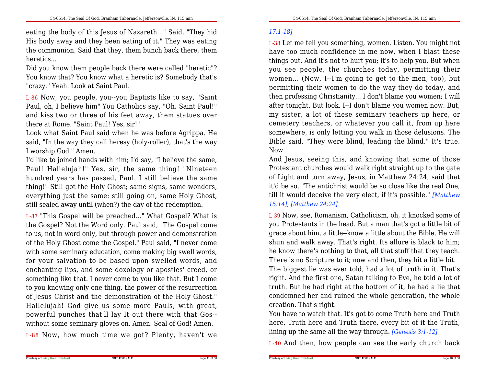eating the body of this Jesus of Nazareth..." Said, "They hid His body away and they been eating of it." They was eating the communion. Said that they, them bunch back there, themheretics...

Did you know them people back there were called "heretic"? You know that? You know what a heretic is? Somebody that's"crazy." Yeah. Look at Saint Paul.

L-86 Now, you people, you--you Baptists like to say, "Saint Paul, oh, I believe him" You Catholics say, "Oh, Saint Paul!" and kiss two or three of his feet away, them statues overthere at Rome. "Saint Paul! Yes, sir!"

 Look what Saint Paul said when he was before Agrippa. He said, "In the way they call heresy (holy-roller), that's the wayI worship God." Amen.

I'd like to joined hands with him; I'd say, "I believe the same,Paul! Hallelujah!" Yes, sir, the same thing! "Nineteen hundred years has passed, Paul. I still believe the same thing!" Still got the Holy Ghost; same signs, same wonders, everything just the same: still going on, same Holy Ghost,still sealed away until (when?) the day of the redemption.

L-87 "This Gospel will be preached..." What Gospel? What is the Gospel? Not the Word only. Paul said, "The Gospel come to us, not in word only, but through power and demonstration of the Holy Ghost come the Gospel." Paul said, "I never come with some seminary education, come making big swell words, for your salvation to be based upon swelled words, and enchanting lips, and some doxology or apostles' creed, or something like that. I never come to you like that. But I come to you knowing only one thing, the power of the resurrection of Jesus Christ and the demonstration of the Holy Ghost." Hallelujah! God give us some more Pauls, with great, powerful punches that'll lay It out there with that Gos-without some seminary gloves on. Amen. Seal of God! Amen.

L-88 Now, how much time we got? Plenty, haven't we

L-38 Let me tell you something, women. Listen. You might not have too much confidence in me now, when I blast these things out. And it's not to hurt you; it's to help you. But when you see people, the churches today, permitting their women... (Now, I--I'm going to get to the men, too), but permitting their women to do the way they do today, and then professing Christianity... I don't blame you women; I will after tonight. But look, I--I don't blame you women now. But,my sister, a lot of these seminary teachers up here, or cemetery teachers, or whatever you call it, from up here somewhere, is only letting you walk in those delusions. The Bible said, "They were blind, leading the blind." It's true.Now...

And Jesus, seeing this, and knowing that some of those Protestant churches would walk right straight up to the gate of Light and turn away, Jesus, in Matthew 24:24, said that it'd be so, "The antichrist would be so close like the real One,till it would deceive the very elect, if it's possible." *[Matthew15:14]*, *[Matthew 24:24]*

L-39 Now, see, Romanism, Catholicism, oh, it knocked some ofyou Protestants in the head. But a man that's got a little bit of grace about him, a little--know a little about the Bible, He willshun and walk away. That's right. Its allure is black to him; he know there's nothing to that, all that stuff that they teach.There is no Scripture to it; now and then, they hit a little bit. The biggest lie was ever told, had a lot of truth in it. That's right. And the first one, Satan talking to Eve, he told a lot oftruth. But he had right at the bottom of it, he had a lie that

 condemned her and ruined the whole generation, the wholecreation. That's right.You have to watch that. It's got to come Truth here and Truth

 here, Truth here and Truth there, every bit of it the Truth,lining up the same all the way through. *[Genesis 3:1-12]*

L-40 And then, how people can see the early church back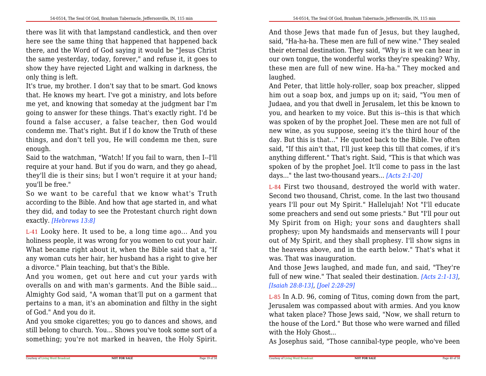there was lit with that lampstand candlestick, and then over here see the same thing that happened that happened back there, and the Word of God saying it would be "Jesus Christ the same yesterday, today, forever," and refuse it, it goes to show they have rejected Light and walking in darkness, theonly thing is left.

It's true, my brother. I don't say that to be smart. God knows that. He knows my heart. I've got a ministry, and lots before me yet, and knowing that someday at the judgment bar I'm going to answer for these things. That's exactly right. I'd be found a false accuser, a false teacher, then God would condemn me. That's right. But if I do know the Truth of these things, and don't tell you, He will condemn me then, sureenough.

Said to the watchman, "Watch! If you fail to warn, then I--I'll require at your hand. But if you do warn, and they go ahead, they'll die is their sins; but I won't require it at your hand;you'll be free."

 So we want to be careful that we know what's Truth according to the Bible. And how that age started in, and what they did, and today to see the Protestant church right downexactly. *[Hebrews 13:8]*

L-41 Looky here. It used to be, a long time ago... And you holiness people, it was wrong for you women to cut your hair. What became right about it, when the Bible said that a, "If any woman cuts her hair, her husband has a right to give hera divorce." Plain teaching, but that's the Bible.

 And you women, get out here and cut your yards with overalls on and with man's garments. And the Bible said... Almighty God said, "A woman that'll put on a garment that pertains to a man, it's an abomination and filthy in the sightof God." And you do it.

And you smoke cigarettes; you go to dances and shows, and still belong to church. You... Shows you've took some sort of asomething; you're not marked in heaven, the Holy Spirit.

And those Jews that made fun of Jesus, but they laughed,said, "Ha-ha-ha. These men are full of new wine." They sealed their eternal destination. They said, "Why is it we can hear in our own tongue, the wonderful works they're speaking? Why,these men are full of new wine. Ha-ha." They mocked andlaughed.

And Peter, that little holy-roller, soap box preacher, slipped him out a soap box, and jumps up on it; said, "You men of Judaea, and you that dwell in Jerusalem, let this be known to you, and hearken to my voice. But this is--this is that which was spoken of by the prophet Joel. These men are not full of new wine, as you suppose, seeing it's the third hour of the day. But this is that..." He quoted back to the Bible. I've often said, "If this ain't that, I'll just keep this till that comes, if it's anything different." That's right. Said, "This is that which was spoken of by the prophet Joel. It'll come to pass in the lastdays..." the last two-thousand years... *[Acts 2:1-20]*

L-84 First two thousand, destroyed the world with water. Second two thousand, Christ, come. In the last two thousand years I'll pour out My Spirit." Hallelujah! Not "I'll educate some preachers and send out some priests." But "I'll pour out My Spirit from on High; your sons and daughters shall prophesy; upon My handsmaids and menservants will I pour out of My Spirit, and they shall prophesy. I'll show signs in the heavens above, and in the earth below." That's what itwas. That was inauguration.

And those Jews laughed, and made fun, and said, "They're full of new wine." That sealed their destination. *[Acts 2:1-13]*,*[Isaiah 28:8-13]*, *[Joel 2:28-29]*

L-85 In A.D. 96, coming of Titus, coming down from the part,Jerusalem was compassed about with armies. And you know what taken place? Those Jews said, "Now, we shall return to the house of the Lord." But those who were warned and filledwith the Holy Ghost...

As Josephus said, "Those cannibal-type people, who've been

**NOT FOR SALE**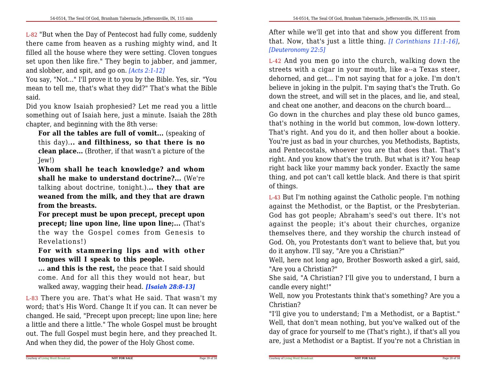L-82 "But when the Day of Pentecost had fully come, suddenly there came from heaven as a rushing mighty wind, and It filled all the house where they were setting. Cloven tongues set upon then like fire." They begin to jabber, and jammer,and slobber, and spit, and go on. *[Acts 2:1-12]*

You say, "Not..." I'll prove it to you by the Bible. Yes, sir. "You mean to tell me, that's what they did?" That's what the Biblesaid.

Did you know Isaiah prophesied? Let me read you a little something out of Isaiah here, just a minute. Isaiah the 28thchapter, and beginning with the 8th verse:

 **For all the tables are full of vomit...** (speaking of this day).**.. and filthiness, so that there is no clean place...** (Brother, if that wasn't a picture of theJew!)

**Whom shall he teach knowledge? and whom shall he make to understand doctrine?...** (We're talking about doctrine, tonight.).**.. they that are weaned from the milk, and they that are drawnfrom the breasts.**

 **For precept must be upon precept, precept upon precept; line upon line, line upon line;...** (That's the way the Gospel comes from Genesis toRevelations!)

 **For with stammering lips and with other tongues will <sup>I</sup> speak to this people.**

**... and this is the rest,** the peace that I said should come. And for all this they would not hear, butwalked away, wagging their head. *[Isaiah 28:8-13]*

L-83 There you are. That's what He said. That wasn't my word; that's His Word. Change It if you can. It can never be changed. He said, "Precept upon precept; line upon line; here a little and there a little." The whole Gospel must be brought out. The full Gospel must begin here, and they preached It.And when they did, the power of the Holy Ghost come.

After while we'll get into that and show you different from that. Now, that's just a little thing. *[I Corinthians 11:1-16]*,*[Deuteronomy 22:5]*

L-42 And you men go into the church, walking down the streets with a cigar in your mouth, like a--a Texas steer,dehorned, and get... I'm not saying that for a joke. I'm don't believe in joking in the pulpit. I'm saying that's the Truth. Go down the street, and will set in the places, and lie, and steal,and cheat one another, and deacons on the church board...

Go down in the churches and play these old bunco games,that's nothing in the world but common, low-down lottery.That's right. And you do it, and then holler about a bookie.You're just as bad in your churches, you Methodists, Baptists, and Pentecostals, whoever you are that does that. That's right. And you know that's the truth. But what is it? You heap right back like your mammy back yonder. Exactly the same thing, and pot can't call kettle black. And there is that spiritof things.

L-43 But I'm nothing against the Catholic people. I'm nothing against the Methodist, or the Baptist, or the Presbyterian.God has got people; Abraham's seed's out there. It's not against the people; it's about their churches, organize themselves there, and they worship the church instead of God. Oh, you Protestants don't want to believe that, but youdo it anyhow. I'll say, "Are you a Christian?"

 Well, here not long ago, Brother Bosworth asked a girl, said,"Are you a Christian?"

 She said, "A Christian? I'll give you to understand, I burn acandle every night!"

 Well, now you Protestants think that's something? Are you aChristian?

 "I'll give you to understand; I'm a Methodist, or a Baptist." Well, that don't mean nothing, but you've walked out of the day of grace for yourself to me (That's right.), if that's all youare, just a Methodist or a Baptist. If you're not a Christian in

**NOT FOR SALE**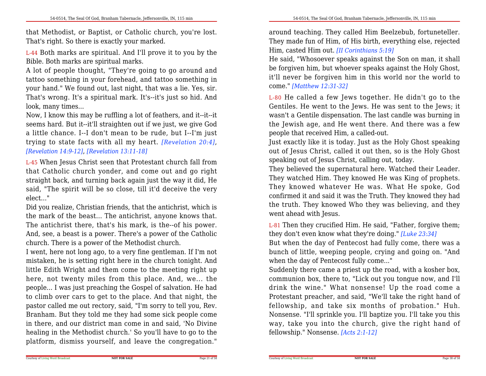that Methodist, or Baptist, or Catholic church, you're lost.That's right. So there is exactly your marked.

L-44 Both marks are spiritual. And I'll prove it to you by theBible. Both marks are spiritual marks.

A lot of people thought, "They're going to go around and tattoo something in your forehead, and tattoo something in your hand." We found out, last night, that was a lie. Yes, sir.That's wrong. It's a spiritual mark. It's--it's just so hid. Andlook, many times...

 Now, I know this may be ruffling a lot of feathers, and it--it--it seems hard. But it--it'll straighten out if we just, we give God a little chance. I--I don't mean to be rude, but I--I'm just trying to state facts with all my heart. *[Revelation 20:4]*,*[Revelation 14:9-12]*, *[Revelation 13:11-18]*

L-45 When Jesus Christ seen that Protestant church fall from that Catholic church yonder, and come out and go right straight back, and turning back again just the way it did, He said, "The spirit will be so close, till it'd deceive the veryelect..."

 Did you realize, Christian friends, that the antichrist, which is the mark of the beast... The antichrist, anyone knows that.The antichrist there, that's his mark, is the--of his power. And, see, a beast is a power. There's a power of the Catholicchurch. There is a power of the Methodist church.

 I went, here not long ago, to a very fine gentleman. If I'm not mistaken, he is setting right here in the church tonight. And little Edith Wright and them come to the meeting right up here, not twenty miles from this place. And, we... the people... I was just preaching the Gospel of salvation. He had to climb over cars to get to the place. And that night, the pastor called me out rectory, said, "I'm sorry to tell you, Rev. Branham. But they told me they had some sick people come in there, and our district man come in and said, 'No Divine healing in the Methodist church.' So you'll have to go to theplatform, dismiss yourself, and leave the congregation."

around teaching. They called Him Beelzebub, fortuneteller.They made fun of Him, of His birth, everything else, rejectedHim, casted Him out. *[II Corinthians 5:19]*

 He said, "Whosoever speaks against the Son on man, it shall be forgiven him, but whoever speaks against the Holy Ghost,it'll never be forgiven him in this world nor the world tocome." *[Matthew 12:31-32]*

L-80 He called a few Jews together. He didn't go to the Gentiles. He went to the Jews. He was sent to the Jews; it wasn't a Gentile dispensation. The last candle was burning in the Jewish age, and He went there. And there was a fewpeople that received Him, a called-out.

Just exactly like it is today. Just as the Holy Ghost speaking out of Jesus Christ, called it out then, so is the Holy Ghostspeaking out of Jesus Christ, calling out, today.

They believed the supernatural here. Watched their Leader. They watched Him. They knowed He was King of prophets.They knowed whatever He was. What He spoke, God confirmed it and said it was the Truth. They knowed they had the truth. They knowed Who they was believing, and theywent ahead with Jesus.

L-81 Then they crucified Him. He said, "Father, forgive them;they don't even know what they're doing." *[Luke 23:34]*

 But when the day of Pentecost had fully come, there was a bunch of little, weeping people, crying and going on. "Andwhen the day of Pentecost fully come..."

 Suddenly there came a priest up the road, with a kosher box, communion box, there to, "Lick out you tongue now, and I'lldrink the wine." What nonsense! Up the road come a Protestant preacher, and said, "We'll take the right hand of fellowship, and take six months of probation." Huh. Nonsense. "I'll sprinkle you. I'll baptize you. I'll take you this way, take you into the church, give the right hand offellowship." Nonsense. *[Acts 2:1-12]*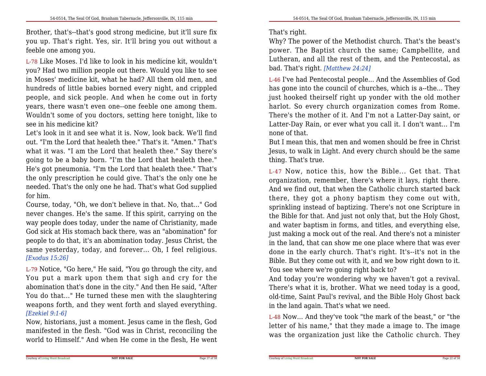Brother, that's--that's good strong medicine, but it'll sure fix you up. That's right. Yes, sir. It'll bring you out without afeeble one among you.

L-78 Like Moses. I'd like to look in his medicine kit, wouldn't you? Had two million people out there. Would you like to see in Moses' medicine kit, what he had? All them old men, and hundreds of little babies borned every night, and crippled people, and sick people. And when he come out in forty years, there wasn't even one--one feeble one among them. Wouldn't some of you doctors, setting here tonight, like tosee in his medicine kit?

 Let's look in it and see what it is. Now, look back. We'll find out. "I'm the Lord that healeth thee." That's it. "Amen." That's what it was. "I am the Lord that healeth thee." Say there's going to be a baby born. "I'm the Lord that healeth thee." He's got pneumonia. "I'm the Lord that healeth thee." That's the only prescription he could give. That's the only one he needed. That's the only one he had. That's what God suppliedfor him.

Course, today, "Oh, we don't believe in that. No, that..." God never changes. He's the same. If this spirit, carrying on the way people does today, under the name of Christianity, made God sick at His stomach back there, was an "abomination" for people to do that, it's an abomination today. Jesus Christ, the same yesterday, today, and forever... Oh, I feel religious.*[Exodus 15:26]*

L-79 Notice, "Go here," He said, "You go through the city, and You put a mark upon them that sigh and cry for the abomination that's done in the city." And then He said, "After You do that..." He turned these men with the slaughtering weapons forth, and they went forth and slayed everything.*[Ezekiel 9:1-6]*

 Now, historians, just a moment. Jesus came in the flesh, God manifested in the flesh. "God was in Christ, reconciling theworld to Himself." And when He come in the flesh, He went

## That's right.

Courtesy of Living Word Broadcast

Why? The power of the Methodist church. That's the beast's power. The Baptist church the same; Campbellite, and Lutheran, and all the rest of them, and the Pentecostal, asbad. That's right. *[Matthew 24:24]*

L-46 I've had Pentecostal people... And the Assemblies of God has gone into the council of churches, which is a--the... They just hooked theirself right up yonder with the old mother harlot. So every church organization comes from Rome. There's the mother of it. And I'm not a Latter-Day saint, or Latter-Day Rain, or ever what you call it. I don't want... I'mnone of that.

But I mean this, that men and women should be free in Christ Jesus, to walk in Light. And every church should be the samething. That's true.

L-47 Now, notice this, how the Bible... Get that. That organization, remember, there's where it lays, right there. And we find out, that when the Catholic church started back there, they got a phony baptism they come out with,sprinkling instead of baptizing. There's not one Scripture in the Bible for that. And just not only that, but the Holy Ghost,and water baptism in forms, and titles, and everything else, just making a mock out of the real. And there's not a minister in the land, that can show me one place where that was ever done in the early church. That's right. It's--it's not in the Bible. But they come out with it, and we bow right down to it.You see where we're going right back to?

 And today you're wondering why we haven't got a revival.There's what it is, brother. What we need today is a good,old-time, Saint Paul's revival, and the Bible Holy Ghost backin the land again. That's what we need.

L-48 Now... And they've took "the mark of the beast," or "the letter of his name," that they made a image to. The imagewas the organization just like the Catholic church. They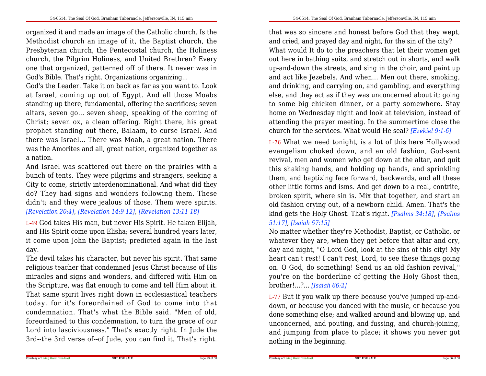organized it and made an image of the Catholic church. Is the Methodist church an image of it, the Baptist church, the Presbyterian church, the Pentecostal church, the Holiness church, the Pilgrim Holiness, and United Brethren? Every one that organized, patterned off of there. It never was inGod's Bible. That's right. Organizations organizing...

God's the Leader. Take it on back as far as you want to. Look at Israel, coming up out of Egypt. And all those Moabs standing up there, fundamental, offering the sacrifices; seven altars, seven go... seven sheep, speaking of the coming of Christ; seven ox, a clean offering. Right there, his great prophet standing out there, Balaam, to curse Israel. And there was Israel... There was Moab, a great nation. There was the Amorites and all, great nation, organized together asa nation.

And Israel was scattered out there on the prairies with a bunch of tents. They were pilgrims and strangers, seeking a City to come, strictly interdenominational. And what did they do? They had signs and wonders following them. These didn't; and they were jealous of those. Them were spirits.*[Revelation 20:4]*, *[Revelation 14:9-12]*, *[Revelation 13:11-18]*

L-49 God takes His man, but never His Spirit. He taken Elijah, and His Spirit come upon Elisha; several hundred years later,it come upon John the Baptist; predicted again in the lastday.

The devil takes his character, but never his spirit. That same religious teacher that condemned Jesus Christ because of His miracles and signs and wonders, and differed with Him on the Scripture, was flat enough to come and tell Him about it. That same spirit lives right down in ecclesiastical teachers today, for it's foreordained of God to come into that condemnation. That's what the Bible said. "Men of old,foreordained to this condemnation, to turn the grace of our Lord into lasciviousness." That's exactly right. In Jude the3rd--the 3rd verse of--of Jude, you can find it. That's right.

that was so sincere and honest before God that they wept,and cried, and prayed day and night, for the sin of the city? What would It do to the preachers that let their women get out here in bathing suits, and stretch out in shorts, and walk up-and-down the streets, and sing in the choir, and paint up and act like Jezebels. And when... Men out there, smoking,and drinking, and carrying on, and gambling, and everything else, and they act as if they was unconcerned about it; going to some big chicken dinner, or a party somewhere. Stay home on Wednesday night and look at television, instead of attending the prayer meeting. In the summertime close thechurch for the services. What would He seal? *[Ezekiel 9:1-6]*

L-76 What we need tonight, is a lot of this here Hollywood evangelism choked down, and an old fashion, God-sent revival, men and women who get down at the altar, and quit this shaking hands, and holding up hands, and sprinkling them, and baptizing face forward, backwards, and all these other little forms and isms. And get down to a real, contrite, broken spirit, where sin is. Mix that together, and start an old fashion crying out, of a newborn child. Amen. That's the kind gets the Holy Ghost. That's right. *[Psalms 34:18]*, *[Psalms51:17]*, *[Isaiah 57:15]*

 No matter whether they're Methodist, Baptist, or Catholic, or whatever they are, when they get before that altar and cry, day and night, "O Lord God, look at the sins of this city! My heart can't rest! I can't rest, Lord, to see these things going on. O God, do something! Send us an old fashion revival," you're on the borderline of getting the Holy Ghost then,brother!...?... *[Isaiah 66:2]*

L-77 But if you walk up there because you've jumped up-anddown, or because you danced with the music, or because you done something else; and walked around and blowing up, and unconcerned, and pouting, and fussing, and church-joining, and jumping from place to place; it shows you never gotnothing in the beginning.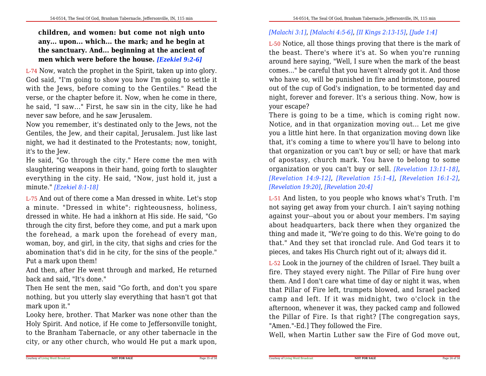**children, and women: but come not nigh unto any... upon... which... the mark; and he begin at the sanctuary. And... beginning at the ancient ofmen which were before the house.** *[Ezekiel 9:2-6]*

L-74 Now, watch the prophet in the Spirit, taken up into glory. God said, "I'm going to show you how I'm going to settle it with the Jews, before coming to the Gentiles." Read the verse, or the chapter before it. Now, when he come in there,he said, "I saw..." First, he saw sin in the city, like he hadnever saw before, and he saw Jerusalem.

Now you remember, it's destinated only to the Jews, not the Gentiles, the Jew, and their capital, Jerusalem. Just like last night, we had it destinated to the Protestants; now, tonight,it's to the Jew.

 He said, "Go through the city." Here come the men with slaughtering weapons in their hand, going forth to slaughter everything in the city. He said, "Now, just hold it, just aminute." *[Ezekiel 8:1-18]*

L-75 And out of there come a Man dressed in white. Let's stop <sup>a</sup> minute. "Dressed in white": righteousness, holiness, dressed in white. He had a inkhorn at His side. He said, "Go through the city first, before they come, and put a mark upon the forehead, a mark upon the forehead of every man, woman, boy, and girl, in the city, that sighs and cries for the abomination that's did in he city, for the sins of the people."Put a mark upon them!

 And then, after He went through and marked, He returnedback and said, "It's done."

 Then He sent the men, said "Go forth, and don't you spare nothing, but you utterly slay everything that hasn't got thatmark upon it."

 Looky here, brother. That Marker was none other than the Holy Spirit. And notice, if He come to Jeffersonville tonight,to the Branham Tabernacle, or any other tabernacle in thecity, or any other church, who would He put a mark upon,

# *[Malachi 3:1]*, *[Malachi 4:5-6]*, *[II Kings 2:13-15]*, *[Jude 1:4]*

L-50 Notice, all those things proving that there is the mark of the beast. There's where it's at. So when you're running around here saying, "Well, I sure when the mark of the beast comes..." be careful that you haven't already got it. And those who have so, will be punished in fire and brimstone, poured out of the cup of God's indignation, to be tormented day and night, forever and forever. It's a serious thing. Now, how isyour escape?

 There is going to be a time, which is coming right now.Notice, and in that organization moving out... Let me give you a little hint here. In that organization moving down like that, it's coming a time to where you'll have to belong into that organization or you can't buy or sell; or have that mark of apostasy, church mark. You have to belong to some organization or you can't buy or sell. *[Revelation 13:11-18]*,*[Revelation 14:9-12]*, *[Revelation 15:1-4]*, *[Revelation 16:1-2]*, *[Revelation 19:20]*, *[Revelation 20:4]*

L-51 And listen, to you people who knows what's Truth. I'm not saying get away from your church. I ain't saying nothing against your--about you or about your members. I'm saying about headquarters, back there when they organized the thing and made it, "We're going to do this. We're going to do that." And they set that ironclad rule. And God tears it topieces, and takes His Church right out of it; always did it.

L-52 Look in the journey of the children of Israel. They built a fire. They stayed every night. The Pillar of Fire hung over them. And I don't care what time of day or night it was, when that Pillar of Fire left, trumpets blowed, and Israel packed camp and left. If it was midnight, two o'clock in the afternoon, whenever it was, they packed camp and followed the Pillar of Fire. Is that right? [The congregation says,"Amen."-Ed.] They followed the Fire.

Well, when Martin Luther saw the Fire of God move out,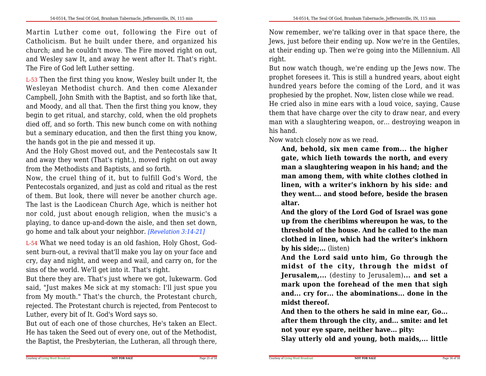Martin Luther come out, following the Fire out of Catholicism. But he built under there, and organized his church; and he couldn't move. The Fire moved right on out,and Wesley saw It, and away he went after It. That's right.The Fire of God left Luther setting.

L-53 Then the first thing you know, Wesley built under It, the Wesleyan Methodist church. And then come Alexander Campbell, John Smith with the Baptist, and so forth like that,and Moody, and all that. Then the first thing you know, they begin to get ritual, and starchy, cold, when the old prophets died off, and so forth. This new bunch come on with nothing but a seminary education, and then the first thing you know,the hands got in the pie and messed it up.

 And the Holy Ghost moved out, and the Pentecostals saw It and away they went (That's right.), moved right on out awayfrom the Methodists and Baptists, and so forth.

 Now, the cruel thing of it, but to fulfill God's Word, the Pentecostals organized, and just as cold and ritual as the rest of them. But look, there will never be another church age. The last is the Laodicean Church Age, which is neither hot nor cold, just about enough religion, when the music's a playing, to dance up-and-down the aisle, and then set down,go home and talk about your neighbor. *[Revelation 3:14-21]*

L-54 What we need today is an old fashion, Holy Ghost, Godsent burn-out, a revival that'll make you lay on your face and cry, day and night, and weep and wail, and carry on, for thesins of the world. We'll get into it. That's right.

 But there they are. That's just where we got, lukewarm. God said, "Just makes Me sick at my stomach: I'll just spue you from My mouth." That's the church, the Protestant church,rejected. The Protestant church is rejected, from Pentecost toLuther, every bit of It. God's Word says so.

But out of each one of those churches, He's taken an Elect. He has taken the Seed out of every one, out of the Methodist,the Baptist, the Presbyterian, the Lutheran, all through there,

Now remember, we're talking over in that space there, the Jews, just before their ending up. Now we're in the Gentiles, at their ending up. Then we're going into the Millennium. Allright.

But now watch though, we're ending up the Jews now. The prophet foresees it. This is still a hundred years, about eight hundred years before the coming of the Lord, and it wasprophesied by the prophet. Now, listen close while we read.

 He cried also in mine ears with a loud voice, saying, Cause them that have charge over the city to draw near, and every man with a slaughtering weapon, or... destroying weapon inhis hand.

Now watch closely now as we read.

**And, behold, six men came from... the higher gate, which lieth towards the north, and every man a slaughtering weapon in his hand; and the man among them, with white clothes clothed in linen, with a writer's inkhorn by his side: and they went... and stood before, beside the brasenaltar.**

**And the glory of the Lord God of Israel was gone up from the cheribims whereupon he was, to the threshold of the house. And he called to the man clothed in linen, which had the writer's inkhornby his side;...** (listen)

**And the Lord said unto him, Go through the midst of the city, through the midst of Jerusalem,...** (destiny to Jerusalem)**... and set a mark upon the forehead of the men that sigh and... cry for... the abominations... done in themidst thereof.**

**And then to the others he said in mine ear, Go...after them through the city, and... smite: and letnot your eye spare, neither have... pity:**

**Slay utterly old and young, both maids,... little**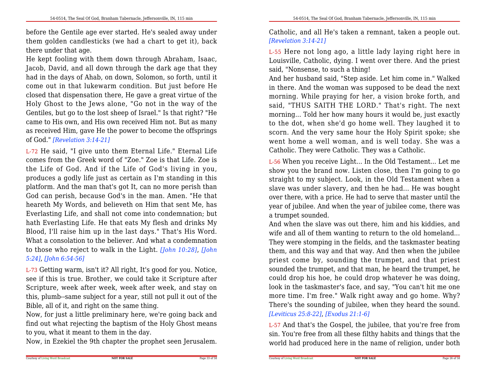before the Gentile age ever started. He's sealed away under them golden candlesticks (we had a chart to get it), backthere under that age.

He kept fooling with them down through Abraham, Isaac,Jacob, David, and all down through the dark age that they had in the days of Ahab, on down, Solomon, so forth, until it come out in that lukewarm condition. But just before He closed that dispensation there, He gave a great virtue of the Holy Ghost to the Jews alone, "Go not in the way of the Gentiles, but go to the lost sheep of Israel." Is that right? "He came to His own, and His own received Him not. But as many as received Him, gave He the power to become the offspringsof God." *[Revelation 3:14-21]*

L-72 He said, "I give unto them Eternal Life." Eternal Life comes from the Greek word of "Zoe." Zoe is that Life. Zoe is the Life of God. And if the Life of God's living in you,produces a godly life just as certain as I'm standing in this platform. And the man that's got It, can no more perish than God can perish, because God's in the man. Amen. "He that heareth My Words, and believeth on Him that sent Me, has Everlasting Life, and shall not come into condemnation; but hath Everlasting Life. He that eats My flesh and drinks My Blood, I'll raise him up in the last days." That's His Word.What a consolation to the believer. And what a condemnation to those who reject to walk in the Light. *[John 10:28]*, *[John5:24]*, *[John 6:54-56]*

L-73 Getting warm, isn't it? All right, It's good for you. Notice, see if this is true. Brother, we could take it Scripture after Scripture, week after week, week after week, and stay on this, plumb--same subject for a year, still not pull it out of theBible, all of it, and right on the same thing.

 Now, for just a little preliminary here, we're going back and find out what rejecting the baptism of the Holy Ghost meansto you, what it meant to them in the day.

Now, in Ezekiel the 9th chapter the prophet seen Jerusalem.

Catholic, and all He's taken a remnant, taken a people out.*[Revelation 3:14-21]*

L-55 Here not long ago, a little lady laying right here in Louisville, Catholic, dying. I went over there. And the priestsaid, "Nonsense, to such a thing!

 And her husband said, "Step aside. Let him come in." Walked in there. And the woman was supposed to be dead the next morning. While praying for her, a vision broke forth, and said, "THUS SAITH THE LORD." That's right. The next morning... Told her how many hours it would be, just exactly to the dot, when she'd go home well. They laughed it to scorn. And the very same hour the Holy Spirit spoke; she went home a well woman, and is well today. She was aCatholic. They were Catholic. They was a Catholic.

L-56 When you receive Light... In the Old Testament... Let me show you the brand now. Listen close, then I'm going to go straight to my subject. Look, in the Old Testament when a slave was under slavery, and then he had... He was bought over there, with a price. He had to serve that master until the year of jubilee. And when the year of jubilee come, there wasa trumpet sounded.

And when the slave was out there, him and his kiddies, and wife and all of them wanting to return to the old homeland...They were stomping in the fields, and the taskmaster beating them, and this way and that way. And then when the jubilee priest come by, sounding the trumpet, and that priest sounded the trumpet, and that man, he heard the trumpet, he could drop his hoe, he could drop whatever he was doing,look in the taskmaster's face, and say, "You can't hit me one more time. I'm free." Walk right away and go home. Why? There's the sounding of jubilee, when they heard the sound.*[Leviticus 25:8-22]*, *[Exodus 21:1-6]*

L-57 And that's the Gospel, the jubilee, that you're free from sin. You're free from all these filthy habits and things that theworld had produced here in the name of religion, under both

Page 33 of 58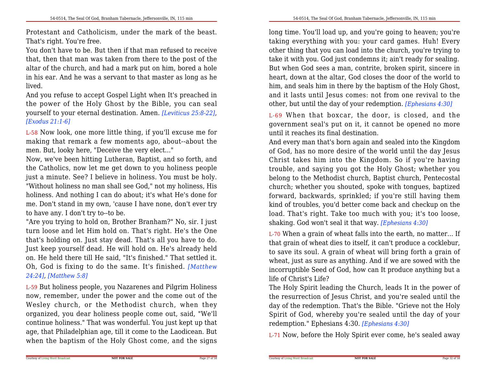Protestant and Catholicism, under the mark of the beast.That's right. You're free.

 You don't have to be. But then if that man refused to receive that, then that man was taken from there to the post of the altar of the church, and had a mark put on him, bored a hole in his ear. And he was a servant to that master as long as helived.

And you refuse to accept Gospel Light when It's preached in the power of the Holy Ghost by the Bible, you can seal yourself to your eternal destination. Amen. *[Leviticus 25:8-22]*,*[Exodus 21:1-6]*

L-58 Now look, one more little thing, if you'll excuse me for making that remark a few moments ago, about--about themen. But, looky here, "Deceive the very elect..."

 Now, we've been hitting Lutheran, Baptist, and so forth, and the Catholics, now let me get down to you holiness people just a minute. See? I believe in holiness. You must be holy. "Without holiness no man shall see God," not my holiness, His holiness. And nothing I can do about; it's what He's done for me. Don't stand in my own, 'cause I have none, don't ever tryto have any. I don't try to--to be.

"Are you trying to hold on, Brother Branham?" No, sir. I just turn loose and let Him hold on. That's right. He's the One that's holding on. Just stay dead. That's all you have to do. Just keep yourself dead. He will hold on. He's already held on. He held there till He said, "It's finished." That settled it. Oh, God is fixing to do the same. It's finished. *[Matthew24:24]*, *[Matthew 5:8]*

L-59 But holiness people, you Nazarenes and Pilgrim Holiness now, remember, under the power and the come out of the Wesley church, or the Methodist church, when they organized, you dear holiness people come out, said, "We'llcontinue holiness." That was wonderful. You just kept up that age, that Philadelphian age, till it come to the Laodicean. Butwhen the baptism of the Holy Ghost come, and the signs

long time. You'll load up, and you're going to heaven; you're taking everything with you: your card games. Huh! Every other thing that you can load into the church, you're trying to take it with you. God just condemns it; ain't ready for sealing.But when God sees a man, contrite, broken spirit, sincere in heart, down at the altar, God closes the door of the world to him, and seals him in there by the baptism of the Holy Ghost, and it lasts until Jesus comes: not from one revival to theother, but until the day of your redemption. *[Ephesians 4:30]*

L-69 When that boxcar, the door, is closed, and the government seal's put on it, it cannot be opened no moreuntil it reaches its final destination.

And every man that's born again and sealed into the Kingdom of God, has no more desire of the world until the day Jesus Christ takes him into the Kingdom. So if you're having trouble, and saying you got the Holy Ghost; whether you belong to the Methodist church, Baptist church, Pentecostalchurch; whether you shouted, spoke with tongues, baptized forward, backwards, sprinkled; if you're still having them kind of troubles, you'd better come back and checkup on the load. That's right. Take too much with you; it's too loose,shaking. God won't seal it that way. *[Ephesians 4:30]*

L-70 When a grain of wheat falls into the earth, no matter... If that grain of wheat dies to itself, it can't produce a cocklebur, to save its soul. A grain of wheat will bring forth a grain of wheat, just as sure as anything. And if we are sowed with the incorruptible Seed of God, how can It produce anything but alife of Christ's Life?

 The Holy Spirit leading the Church, leads It in the power of the resurrection of Jesus Christ, and you're sealed until the day of the redemption. That's the Bible. "Grieve not the Holy Spirit of God, whereby you're sealed until the day of yourredemption." Ephesians 4:30. *[Ephesians 4:30]*

L-71 Now, before the Holy Spirit ever come, he's sealed away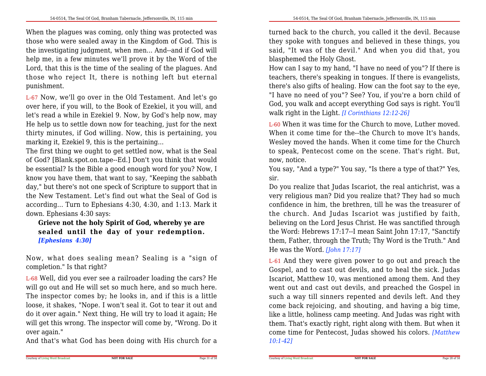When the plagues was coming, only thing was protected was those who were sealed away in the Kingdom of God. This is the investigating judgment, when men... And--and if God willhelp me, in a few minutes we'll prove it by the Word of the Lord, that this is the time of the sealing of the plagues. And those who reject It, there is nothing left but eternal punishment.

L-67 Now, we'll go over in the Old Testament. And let's go over here, if you will, to the Book of Ezekiel, it you will, and let's read a while in Ezekiel 9. Now, by God's help now, may He help us to settle down now for teaching, just for the next thirty minutes, if God willing. Now, this is pertaining, youmarking it, Ezekiel 9, this is the pertaining...

 The first thing we ought to get settled now, what is the Sealof God? [Blank.spot.on.tape--Ed.] Don't you think that would be essential? Is the Bible a good enough word for you? Now, I know you have them, that want to say, "Keeping the sabbath day," but there's not one speck of Scripture to support that in the New Testament. Let's find out what the Seal of God is according... Turn to Ephesians 4:30, 4:30, and 1:13. Mark itdown. Ephesians 4:30 says:

**Grieve not the holy Spirit of God, whereby ye are sealed until the day of your redemption.** *[Ephesians 4:30]*

Now, what does sealing mean? Sealing is <sup>a</sup> "sign of completion." Is that right?

L-68 Well, did you ever see a railroader loading the cars? He will go out and He will set so much here, and so much here. The inspector comes by; he looks in, and if this is a little loose, it shakes, "Nope. I won't seal it. Got to tear it out and do it over again." Next thing, He will try to load it again; He will get this wrong. The inspector will come by, "Wrong. Do itover again."

And that's what God has been doing with His church for a

turned back to the church, you called it the devil. Because they spoke with tongues and believed in these things, you said, "It was of the devil." And when you did that, youblasphemed the Holy Ghost.

How can I say to my hand, "I have no need of you"? If there is teachers, there's speaking in tongues. If there is evangelists, there's also gifts of healing. How can the foot say to the eye, "I have no need of you"? See? You, if you're a born child of God, you walk and accept everything God says is right. You'llwalk right in the Light. *[I Corinthians 12:12-26]*

L-60 When it was time for the Church to move, Luther moved. When it come time for the--the Church to move It's hands,Wesley moved the hands. When it come time for the Church to speak, Pentecost come on the scene. That's right. But,now, notice.

You say, "And a type?" You say, "Is there a type of that?" Yes,sir.

Do you realize that Judas Iscariot, the real antichrist, was a very religious man? Did you realize that? They had so much confidence in him, the brethren, till he was the treasurer of the church. And Judas Iscariot was justified by faith, believing on the Lord Jesus Christ. He was sanctified through the Word: Hebrews 17:17--I mean Saint John 17:17, "Sanctify them, Father, through the Truth; Thy Word is the Truth." AndHe was the Word. *[John 17:17]*

L-61 And they were given power to go out and preach the Gospel, and to cast out devils, and to heal the sick. Judas Iscariot, Matthew 10, was mentioned among them. And they went out and cast out devils, and preached the Gospel in such a way till sinners repented and devils left. And they come back rejoicing, and shouting, and having a big time, like a little, holiness camp meeting. And Judas was right with them. That's exactly right, right along with them. But when it come time for Pentecost, Judas showed his colors. *[Matthew10:1-42]*